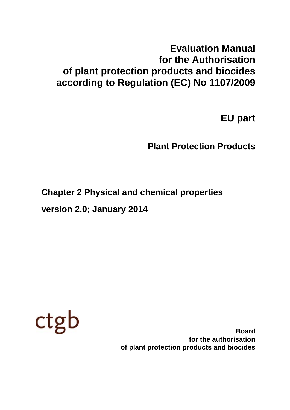# **Evaluation Manual for the Authorisation of plant protection products and biocides according to Regulation (EC) No 1107/2009**

**EU part**

**Plant Protection Products**

**Chapter 2 Physical and chemical properties**

**version 2.0; January 2014**



**Board for the authorisation of plant protection products and biocides**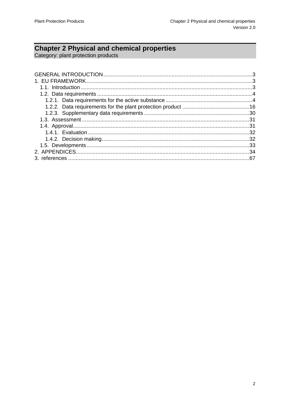# **Chapter 2 Physical and chemical properties**<br>Category: plant protection products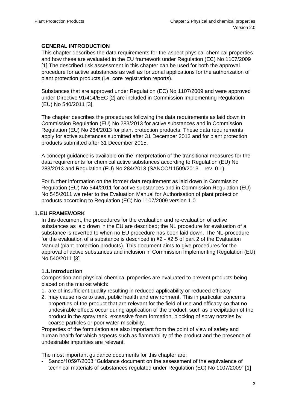# <span id="page-2-0"></span>**GENERAL INTRODUCTION**

<span id="page-2-4"></span>This chapter describes the data requirements for the aspect physical-chemical properties and how these are evaluated in the EU framework under Regulation (EC) No 1107/2009 [1].The described risk assessment in this chapter can be used for both the approval procedure for active substances as well as for zonal applications for the authorization of plant protection products (i.e. core registration reports).

<span id="page-2-3"></span>Substances that are approved under Regulation (EC) No 1107/2009 and were approved under Directive 91/414/EEC [2] are included in Commission Implementing Regulation (EU) No 540/2011 [3].

The chapter describes the procedures following the data requirements as laid down in Commission Regulation (EU) No 283/2013 for active substances and in Commission Regulation (EU) No 284/2013 for plant protection products. These data requirements apply for active substances submitted after 31 December 2013 and for plant protection products submitted after 31 December 2015.

A concept guidance is available on the interpretation of the transitional measures for the data requirements for chemical active substances according to Regulation (EU) No 283/2013 and Regulation (EU) No 284/2013 (SANCO/11509/2013 – rev. 0.1).

For further information on the former data requirement as laid down in Commission Regulation (EU) No 544/2011 for active substances and in Commission Regulation (EU) No 545/2011 we refer to the Evaluation Manual for Authorisation of plant protection products according to Regulation (EC) No 1107/2009 version 1.0

# <span id="page-2-1"></span>**1. EU FRAMEWORK**

In this document, the procedures for the evaluation and re-evaluation of active substances as laid down in the EU are described; the NL procedure for evaluation of a substance is reverted to when no EU procedure has been laid down. The NL-procedure for the evaluation of a substance is described in §2 - §2.5 of part 2 of the Evaluation Manual (plant protection products). This document aims to give procedures for the approval of active substances and inclusion in Commission Implementing Regulation (EU) No 540/2011 [\[3\]](#page-2-3)

# <span id="page-2-2"></span>**1.1.Introduction**

Composition and physical-chemical properties are evaluated to prevent products being placed on the market which:

- 1. are of insufficient quality resulting in reduced applicability or reduced efficacy
- 2. may cause risks to user, public health and environment. This in particular concerns properties of the product that are relevant for the field of use and efficacy so that no undesirable effects occur during application of the product, such as precipitation of the product in the spray tank, excessive foam formation, blocking of spray nozzles by coarse particles or poor water-miscibility.

Properties of the formulation are also important from the point of view of safety and human health for which aspects such as flammability of the product and the presence of undesirable impurities are relevant.

The most important guidance documents for this chapter are:

- Sanco/10597/2003 "Guidance document on the assessment of the equivalence of technical materials of substances regulated under Regulation (EC) No 1107/2009‖ [\[1\]](#page-2-4)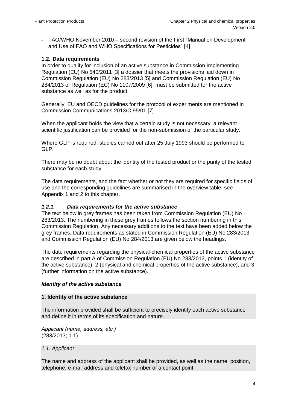- FAO/WHO November 2010 – second revision of the First "Manual on Development and Use of FAO and WHO Specifications for Pesticides" [4].

#### <span id="page-3-2"></span><span id="page-3-0"></span>**1.2. Data requirements**

In order to qualify for inclusion of an active substance in Commission Implementing Regulation (EU) No 540/2011 [\[3\]](#page-2-3) a dossier that meets the provisions laid down in Commission Regulation (EU) No 283/2013 [5] and Commission Regulation (EU) No 284/2013 of Regulation (EC) No 1107/2009 [6] must be submitted for the active substance as well as for the product.

Generally, EU and OECD guidelines for the protocol of experiments are mentioned in Commission Communications 2013/C 95/01 [7]

When the applicant holds the view that a certain study is not necessary, a relevant scientific justification can be provided for the non-submission of the particular study.

Where GLP is required, studies carried out after 25 July 1993 should be performed to GLP.

There may be no doubt about the identity of the tested product or the purity of the tested substance for each study.

The data requirements, and the fact whether or not they are required for specific fields of use and the corresponding guidelines are summarised in the overview table, see Appendix 1 and 2 to this chapter.

#### <span id="page-3-1"></span>*1.2.1. Data requirements for the active substance*

The text below in grey frames has been taken from Commission Regulation (EU) No 283/2013. The numbering in these grey frames follows the section numbering in this Commission Regulation. Any necessary additions to the text have been added below the grey frames. Data requirements as stated in Commission Regulation (EU) No 283/2013 and Commission Regulation (EU) No 284/2013 are given below the headings.

The date requirements regarding the physical-chemical properties of the active substance are described in part A of Commission Regulation (EU) No 283/2013, points 1 (identity of the active substance), 2 (physical and chemical properties of the active substance), and 3 (further information on the active substance).

#### *Identity of the active substance*

#### **1. Identity of the active substance**

The information provided shall be sufficient to precisely identify each active substance and define it in terms of its specification and nature.

*Applicant (name, address, etc.)* (283/2013; 1.1)

#### *1.1. Applicant*

The name and address of the applicant shall be provided, as well as the name, position, telephone, e-mail address and telefax number of a contact point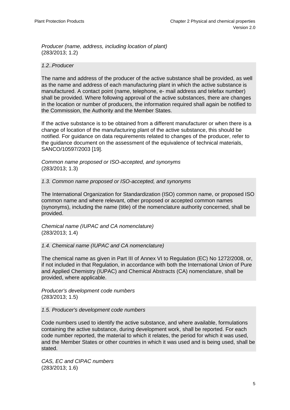*Producer (name, address, including location of plant)* (283/2013; 1.2)

#### *1.2..Producer*

The name and address of the producer of the active substance shall be provided, as well as the name and address of each manufacturing plant in which the active substance is manufactured. A contact point (name, telephone, e- mail address and telefax number) shall be provided. Where following approval of the active substances, there are changes in the location or number of producers, the information required shall again be notified to the Commission, the Authority and the Member States.

If the active substance is to be obtained from a different manufacturer or when there is a change of location of the manufacturing plant of the active substance, this should be notified. For guidance on data requirements related to changes of the producer, refer to the guidance document on the assessment of the equivalence of technical materials, SANCO/10597/2003 [19].

*Common name proposed or ISO-accepted, and synonyms* (283/2013; 1.3)

*1.3. Common name proposed or ISO-accepted, and synonyms*

The International Organization for Standardization (ISO) common name, or proposed ISO common name and where relevant, other proposed or accepted common names (synonyms), including the name (title) of the nomenclature authority concerned, shall be provided.

*Chemical name (IUPAC and CA nomenclature)* (283/2013; 1.4)

*1.4. Chemical name (IUPAC and CA nomenclature)*

The chemical name as given in Part III of Annex VI to Regulation (EC) No 1272/2008, or, if not included in that Regulation, in accordance with both the International Union of Pure and Applied Chemistry (IUPAC) and Chemical Abstracts (CA) nomenclature, shall be provided, where applicable.

*Producer's development code numbers* (283/2013; 1.5)

*1.5. Producer's development code numbers*

Code numbers used to identify the active substance, and where available, formulations containing the active substance, during development work, shall be reported. For each code number reported, the material to which it relates, the period for which it was used, and the Member States or other countries in which it was used and is being used, shall be stated.

*CAS, EC and CIPAC numbers* (283/2013; 1.6)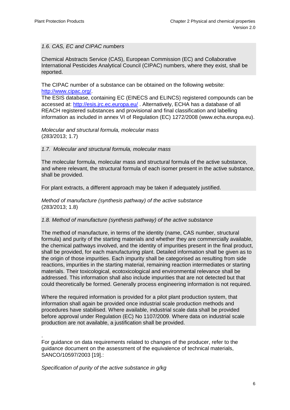#### *1.6. CAS, EC and CIPAC numbers*

Chemical Abstracts Service (CAS), European Commission (EC) and Collaborative International Pesticides Analytical Council (CIPAC) numbers, where they exist, shall be reported.

The CIPAC number of a substance can be obtained on the following website: [http://www.cipac.org/.](http://www.cipac.org/)

The ESIS database, containing EC (EINECS and ELINCS) registered compounds can be accessed at: <http://esis.jrc.ec.europa.eu/> . Alternatively, ECHA has a database of all REACH registered substances and provisional and final classification and labelling information as included in annex VI of Regulation (EC) 1272/2008 (www.echa.europa.eu).

*Molecular and structural formula, molecular mass*  (283/2013; 1.7)

#### *1.7. Molecular and structural formula, molecular mass*

The molecular formula, molecular mass and structural formula of the active substance, and where relevant, the structural formula of each isomer present in the active substance, shall be provided.

For plant extracts, a different approach may be taken if adequately justified.

*Method of manufacture (synthesis pathway) of the active substance* (283/2013; 1.8)

#### *1.8. Method of manufacture (synthesis pathway) of the active substance*

The method of manufacture, in terms of the identity (name, CAS number, structural formula) and purity of the starting materials and whether they are commercially available, the chemical pathways involved, and the identity of impurities present in the final product, shall be provided, for each manufacturing plant. Detailed information shall be given as to the origin of those impurities. Each impurity shall be categorised as resulting from side reactions, impurities in the starting material, remaining reaction intermediates or starting materials. Their toxicological, ecotoxicological and environmental relevance shall be addressed. This information shall also include impurities that are not detected but that could theoretically be formed. Generally process engineering information is not required.

Where the required information is provided for a pilot plant production system, that information shall again be provided once industrial scale production methods and procedures have stabilised. Where available, industrial scale data shall be provided before approval under Regulation (EC) No 1107/2009. Where data on industrial scale production are not available, a justification shall be provided.

. For guidance on data requirements related to changes of the producer, refer to the guidance document on the assessment of the equivalence of technical materials, SANCO/10597/2003 [19].:

*Specification of purity of the active substance in g/kg*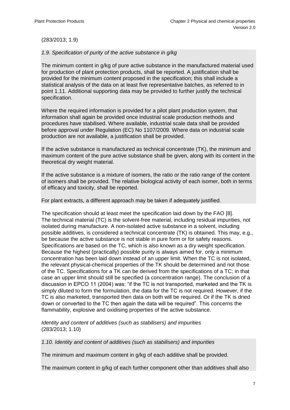#### (283/2013; 1.9)

#### *1.9. Specification of purity of the active substance in g/kg*

The minimum content in g/kg of pure active substance in the manufactured material used for production of plant protection products, shall be reported. A justification shall be provided for the minimum content proposed in the specification; this shall include a statistical analysis of the data on at least five representative batches, as referred to in point 1.11. Additional supporting data may be provided to further justify the technical specification.

Where the required information is provided for a pilot plant production system, that information shall again be provided once industrial scale production methods and procedures have stabilised. Where available, industrial scale data shall be provided before approval under Regulation (EC) No 1107/2009. Where data on industrial scale production are not available, a justification shall be provided.

If the active substance is manufactured as technical concentrate (TK), the minimum and maximum content of the pure active substance shall be given, along with its content in the theoretical dry weight material.

If the active substance is a mixture of isomers, the ratio or the ratio range of the content of isomers shall be provided. The relative biological activity of each isomer, both in terms of efficacy and toxicity, shall be reported.

For plant extracts, a different approach may be taken if adequately justified.

The specification should at least meet the specification laid down by the FAO [8]. The technical material (TC) is the solvent-free material, including residual impurities, not isolated during manufacture. A non-isolated active substance in a solvent, including possible additives, is considered a technical concentrate (TK) is obtained. This may, e.g., be because the active substance is not stable in pure form or for safety reasons. Specifications are based on the TC, which is also known as a dry weight specification. Because the highest (practically) possible purity is always aimed for, only a minimum concentration has been laid down instead of an upper limit. When the TC is not isolated, the relevant physical-chemical properties of the TK should be determined and not those of the TC. Specifications for a TK can be derived from the specifications of a TC; in that case an upper limit should still be specified (a concentration range). The conclusion of a discussion in EPCO 11 (2004) was: "if the TC is not transported, marketed and the TK is simply diluted to form the formulation, the data for the TC is not required. However, if the TC is also marketed, transported then data on both will be required. Or if the TK is dried down or converted to the TC then again the data will be required‖. This concerns the flammability, explosive and oxidising properties of the active substance.

*Identity and content of additives (such as stabilisers) and impurities* (283/2013; 1.10)

*1.10. Identity and content of additives (such as stabilisers) and impurities*

The minimum and maximum content in g/kg of each additive shall be provided.

The maximum content in g/kg of each further component other than additives shall also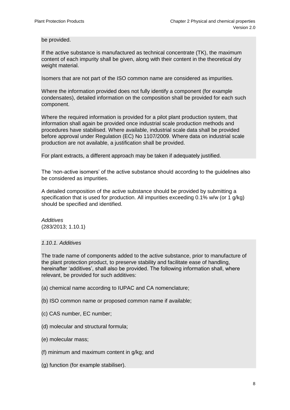be provided.

If the active substance is manufactured as technical concentrate (TK), the maximum content of each impurity shall be given, along with their content in the theoretical dry weight material.

Isomers that are not part of the ISO common name are considered as impurities.

Where the information provided does not fully identify a component (for example condensates), detailed information on the composition shall be provided for each such component.

Where the required information is provided for a pilot plant production system, that information shall again be provided once industrial scale production methods and procedures have stabilised. Where available, industrial scale data shall be provided before approval under Regulation (EC) No 1107/2009. Where data on industrial scale production are not available, a justification shall be provided.

For plant extracts, a different approach may be taken if adequately justified.

The 'non-active isomers' of the active substance should according to the guidelines also be considered as impurities.

A detailed composition of the active substance should be provided by submitting a specification that is used for production. All impurities exceeding 0.1% w/w (or 1 g/kg) should be specified and identified.

*Additives* (283/2013; 1.10.1)

# *1.10.1. Additives*

The trade name of components added to the active substance, prior to manufacture of the plant protection product, to preserve stability and facilitate ease of handling, hereinafter 'additives', shall also be provided. The following information shall, where relevant, be provided for such additives:

- (a) chemical name according to IUPAC and CA nomenclature;
- (b) ISO common name or proposed common name if available;
- (c) CAS number, EC number;
- (d) molecular and structural formula;
- (e) molecular mass;
- (f) minimum and maximum content in g/kg; and
- (g) function (for example stabiliser).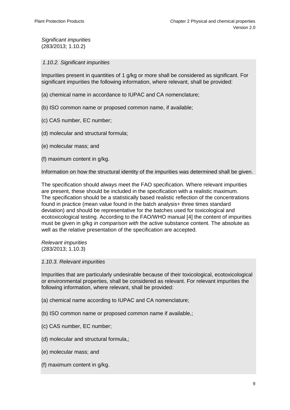*Significant impurities* (283/2013; 1.10.2)

*1.10.2. Significant impurities*

Impurities present in quantities of 1 g/kg or more shall be considered as significant. For significant impurities the following information, where relevant, shall be provided:

- (a) chemical name in accordance to IUPAC and CA nomenclature;
- (b) ISO common name or proposed common name, if available;
- (c) CAS number, EC number;
- (d) molecular and structural formula;
- (e) molecular mass; and
- (f) maximum content in g/kg.

Information on how the structural identity of the impurities was determined shall be given.

The specification should always meet the FAO specification. Where relevant impurities are present, these should be included in the specification with a realistic maximum. The specification should be a statistically based realistic reflection of the concentrations found in practice (mean value found in the batch analysis+ three times standard deviation) and should be representative for the batches used for toxicological and ecotoxicological testing. According to the FAO/WHO manual [\[4\]](#page-3-2) the content of impurities must be given in g/kg *in comparison with* the active substance content. The absolute as well as the relative presentation of the specification are accepted.

*Relevant impurities* (283/2013; 1.10.3)

#### *1.10.3. Relevant impurities*

Impurities that are particularly undesirable because of their toxicological, ecotoxicological or environmental properties, shall be considered as relevant. For relevant impurities the following information, where relevant, shall be provided:

- (a) chemical name according to IUPAC and CA nomenclature;
- (b) ISO common name or proposed common name if available,;
- (c) CAS number, EC number;
- (d) molecular and structural formula,;
- (e) molecular mass; and
- (f) maximum content in g/kg.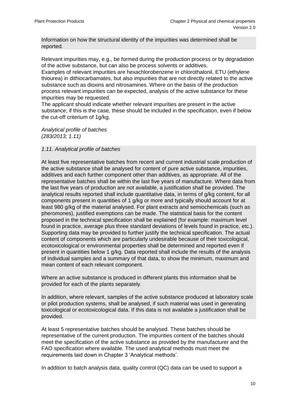Information on how the structural identity of the impurities was determined shall be reported.

Relevant impurities may, e.g., be formed during the production process or by degradation of the active substance, but can also be process solvents or additives.

Examples of relevant impurities are hexachlorobenzene in chlorothalonil, ETU (ethylene thiourea) in dithiocarbamates, but also impurities that are not directly related to the active substance such as dioxins and nitrosamines. Where on the basis of the production process relevant impurities can be expected, analysis of the active substance for these impurities may be requested.

The applicant should indicate whether relevant impurities are present in the active substance; if this is the case, these should be included in the specification, even if below the cut-off criterium of 1g/kg.

*Analytical profile of batches (283/2013; 1.11)*

#### *1.11. Analytical profile of batches*

At least five representative batches from recent and current industrial scale production of the active substance shall be analysed for content of pure active substance, impurities, additives and each further component other than additives, as appropriate. All of the representative batches shall be within the last five years of manufacture. Where data from the last five years of production are not available, a justification shall be provided. The analytical results reported shall include quantitative data, in terms of g/kg content, for all components present in quantities of 1 g/kg or more and typically should account for at least 980 g/kg of the material analysed. For plant extracts and semiochemicals (such as pheromones), justified exemptions can be made. The statistical basis for the content proposed in the technical specification shall be explained (for example: maximum level found in practice, average plus three standard deviations of levels found in practice, etc.). Supporting data may be provided to further justify the technical specification. The actual content of components which are particularly undesirable because of their toxicological, ecotoxicological or environmental properties shall be determined and reported even if present in quantities below 1 g/kg. Data reported shall include the results of the analysis of individual samples and a summary of that data, to show the minimum, maximum and mean content of each relevant component.

Where an active substance is produced in different plants this information shall be provided for each of the plants separately.

In addition, where relevant, samples of the active substance produced at laboratory scale or pilot production systems, shall be analysed, if such material was used in generating toxicological or ecotoxicological data. If this data is not available a justification shall be provided.

At least 5 representative batches should be analysed. These batches should be representative of the current production. The impurities content of the batches should meet the specification of the active substance as provided by the manufacturer and the FAO specification where available. The used analytical methods must meet the requirements laid down in Chapter 3 'Analytical methods'.

In addition to batch analysis data, quality control (QC) data can be used to support a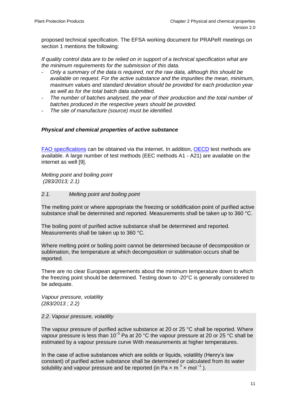proposed technical specification. The EFSA working document for PRAPeR meetings on section 1 mentions the following:

*If quality control data are to be relied on in support of a technical specification what are the minimum requirements for the submission of this data.* 

- *Only a summary of the data is required, not the raw data, although this should be available on request. For the active substance and the impurities the mean, minimum, maximum values and standard deviation should be provided for each production year as well as for the total batch data submitted.*
- *The number of batches analysed, the year of their production and the total number of batches produced in the respective years should be provided.*
- *The site of manufacture (source) must be identified.*

#### *Physical and chemical properties of active substance*

[FAO specifications](http://www.fao.org/agriculture/crops/thematic-sitemap/theme/pests/jmps/en/) can be obtained via the internet. In addition, [OECD](http://www.oecd.org/env/ehs/testing/) test methods are available. A large number of test methods (EEC methods A1 - A21) are available on the internet as well [9].

*Melting point and boiling point (283/2013; 2.1)*

#### *2.1. Melting point and boiling point*

The melting point or where appropriate the freezing or solidification point of purified active substance shall be determined and reported. Measurements shall be taken up to 360 °C.

The boiling point of purified active substance shall be determined and reported. Measurements shall be taken up to 360 °C.

Where melting point or boiling point cannot be determined because of decomposition or sublimation, the temperature at which decomposition or sublimation occurs shall be reported.

There are no clear European agreements about the minimum temperature down to which the freezing point should be determined. Testing down to -20°C is generally considered to be adequate.

*Vapour pressure, volatility (283/2013 ; 2.2)*

#### *2.2. Vapour pressure, volatility*

The vapour pressure of purified active substance at 20 or 25 °C shall be reported. Where vapour pressure is less than 10<sup>-5</sup> Pa at 20 °C the vapour pressure at 20 or 25 °C shall be estimated by a vapour pressure curve With measurements at higher temperatures.

In the case of active substances which are solids or liquids, volatility (Henry's law constant) of purified active substance shall be determined or calculated from its water solubility and vapour pressure and be reported (in Pa  $\times$  m<sup>3</sup>  $\times$  mol<sup>-1</sup>).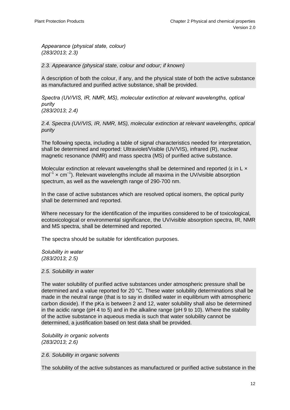*Appearance (physical state, colour) (283/2013; 2.3)*

*2.3. Appearance (physical state, colour and odour; if known)*

A description of both the colour, if any, and the physical state of both the active substance as manufactured and purified active substance, shall be provided.

*Spectra (UV/VIS, IR, NMR, MS), molecular extinction at relevant wavelengths, optical purity (283/2013; 2.4)*

*2.4. Spectra (UV/VIS, IR, NMR, MS), molecular extinction at relevant wavelengths, optical purity*

The following specta, including a table of signal characteristics needed for interpretation, shall be determined and reported: Ultraviolet/Visible (UV/VIS), infrared (R), nuclear magnetic resonance (NMR) and mass spectra (MS) of purified active substance.

Molecular extinction at relevant wavelengths shall be determined and reported ( $\epsilon$  in L  $\times$  $mol^{-1}$  x cm<sup>-1</sup>). Relevant wavelengths include all maxima in the UV/visible absorption spectrum, as well as the wavelength range of 290-700 nm.

In the case of active substances which are resolved optical isomers, the optical purity shall be determined and reported.

Where necessary for the identification of the impurities considered to be of toxicological, ecotoxicological or environmental significance, the UV/visible absorption spectra, IR, NMR and MS spectra, shall be determined and reported.

The spectra should be suitable for identification purposes.

*Solubility in water (283/2013; 2.5)*

#### *2.5. Solubility in water*

The water solubility of purified active substances under atmospheric pressure shall be determined and a value reported for 20 °C. These water solubility determinations shall be made in the neutral range (that is to say in distilled water in equilibrium with atmospheric carbon dioxide). If the pKa is between 2 and 12, water solubility shall also be determined in the acidic range (pH 4 to 5) and in the alkaline range (pH 9 to 10). Where the stability of the active substance in aqueous media is such that water solubility cannot be determined, a justification based on test data shall be provided.

*Solubility in organic solvents (283/2013; 2.6)*

*2.6. Solubility in organic solvents*

The solubility of the active substances as manufactured or purified active substance in the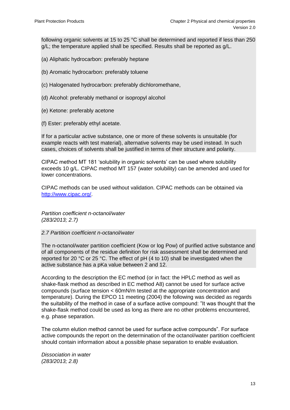following organic solvents at 15 to 25 °C shall be determined and reported if less than 250 g/L; the temperature applied shall be specified. Results shall be reported as g/L.

- (a) Aliphatic hydrocarbon: preferably heptane
- (b) Aromatic hydrocarbon: preferably toluene
- (c) Halogenated hydrocarbon: preferably dichloromethane,
- (d) Alcohol: preferably methanol or isopropyl alcohol
- (e) Ketone: preferably acetone
- (f) Ester: preferably ethyl acetate.

If for a particular active substance, one or more of these solvents is unsuitable (for example reacts with test material), alternative solvents may be used instead. In such cases, choices of solvents shall be justified in terms of their structure and polarity.

CIPAC method MT 181 ‗solubility in organic solvents' can be used where solubility exceeds 10 g/L. CIPAC method MT 157 (water solubility) can be amended and used for lower concentrations.

CIPAC methods can be used without validation. CIPAC methods can be obtained via [http://www.cipac.org/.](http://www.cipac.org/)

*Partition coefficient n-octanol/water (283/2013; 2.7)*

#### *2.7 Partition coefficient n-octanol/water*

The n-octanol/water partition coefficient (Kow or log Pow) of purified active substance and of all components of the residue definition for risk assessment shall be determined and reported for 20 °C or 25 °C. The effect of pH (4 to 10) shall be investigated when the active substance has a pKa value between 2 and 12.

According to the description the EC method (or in fact: the HPLC method as well as shake-flask method as described in EC method A8) cannot be used for surface active compounds (surface tension < 60mN/m tested at the appropriate concentration and temperature). During the EPCO 11 meeting (2004) the following was decided as regards the suitability of the method in case of a surface active compound: ‖It was thought that the shake-flask method could be used as long as there are no other problems encountered, e.g. phase separation.

The column elution method cannot be used for surface active compounds". For surface active compounds the report on the determination of the octanol/water partition coefficient should contain information about a possible phase separation to enable evaluation.

*Dissociation in water (283/2013; 2.8)*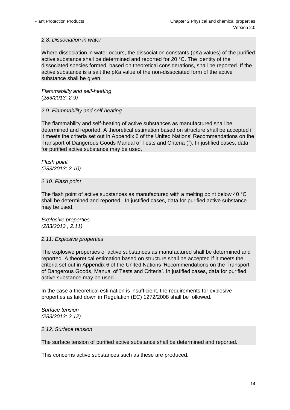#### *2.8..Dissociation in water*

Where dissociation in water occurs, the dissociation constants (pKa values) of the purified active substance shall be determined and reported for 20 °C. The identity of the dissociated species formed, based on theoretical considerations, shall be reported. If the active substance is a salt the pKa value of the non-dissociated form of the active substance shall be given.

*Flammability and self-heating (283/2013; 2.9)*

#### *2.9. Flammability and self-heating*

The flammability and self-heating of active substances as manufactured shall be determined and reported. A theoretical estimation based on structure shall be accepted if it meets the criteria set out in Appendix 6 of the United Nations' Recommendations on the Transport of Dangerous Goods Manual of Tests and Criteria ( 1 ). In justified cases, data for purified active substance may be used.

*Flash point (283/2013; 2.10)*

#### *2.10. Flash point*

The flash point of active substances as manufactured with a melting point below 40 °C shall be determined and reported . In justified cases, data for purified active substance may be used.

*Explosive properties (283/2013 ; 2.11)*

#### *2.11. Explosive properties*

The explosive properties of active substances as manufactured shall be determined and reported. A theoretical estimation based on structure shall be accepted if it meets the criteria set out in Appendix 6 of the United Nations ‗Recommendations on the Transport of Dangerous Goods, Manual of Tests and Criteria'. In justified cases, data for purified active substance may be used.

In the case a theoretical estimation is insufficient, the requirements for explosive properties as laid down in Regulation (EC) 1272/2008 shall be followed.

*Surface tension (283/2013; 2.12)*

#### *2.12. Surface tension*

The surface tension of purified active substance shall be determined and reported.

This concerns active substances such as these are produced.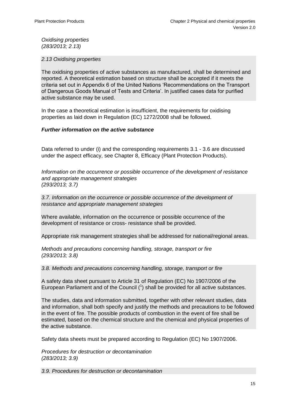*Oxidising properties (283/2013; 2.13)*

*2.13 Oxidising properties*

The oxidising properties of active substances as manufactured, shall be determined and reported. A theoretical estimation based on structure shall be accepted if it meets the criteria set out in Appendix 6 of the United Nations ‗Recommendations on the Transport of Dangerous Goods Manual of Tests and Criteria'. In justified cases data for purified active substance may be used.

In the case a theoretical estimation is insufficient, the requirements for oxidising properties as laid down in Regulation (EC) 1272/2008 shall be followed.

#### *Further information on the active substance*

Data referred to under (i) and the corresponding requirements 3.1 - 3.6 are discussed under the aspect efficacy, see Chapter 8, Efficacy (Plant Protection Products).

*Information on the occurrence or possible occurrence of the development of resistance and appropriate management strategies (293/2013; 3.7)*

*3.7. Information on the occurrence or possible occurrence of the development of resistance and appropriate management strategies*

Where available, information on the occurrence or possible occurrence of the development of resistance or cross- resistance shall be provided.

Appropriate risk management strategies shall be addressed for national/regional areas.

*Methods and precautions concerning handling, storage, transport or fire (293/2013; 3.8)*

*3.8. Methods and precautions concerning handling, storage, transport or fire*

A safety data sheet pursuant to Article 31 of Regulation (EC) No 1907/2006 of the European Parliament and of the Council  $(1)$  shall be provided for all active substances.

The studies, data and information submitted, together with other relevant studies, data and information, shall both specify and justify the methods and precautions to be followed in the event of fire. The possible products of combustion in the event of fire shall be estimated, based on the chemical structure and the chemical and physical properties of the active substance.

Safety data sheets must be prepared according to Regulation (EC) No 1907/2006.

*Procedures for destruction or decontamination (283/2013; 3.9)*

*3.9. Procedures for destruction or decontamination*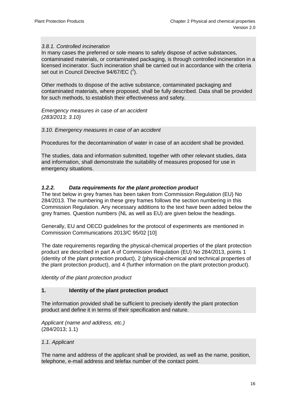#### *3.8.1. Controlled incineration*

In many cases the preferred or sole means to safely dispose of active substances, contaminated materials, or contaminated packaging, is through controlled incineration in a licensed incinerator. Such incineration shall be carried out in accordance with the criteria set out in Council Directive 94/67/EC  $(^2)$ .

Other methods to dispose of the active substance, contaminated packaging and contaminated materials, where proposed, shall be fully described. Data shall be provided for such methods, to establish their effectiveness and safety.

*Emergency measures in case of an accident (283/2013; 3.10)*

#### *3.10. Emergency measures in case of an accident*

Procedures for the decontamination of water in case of an accident shall be provided.

The studies, data and information submitted, together with other relevant studies, data and information, shall demonstrate the suitability of measures proposed for use in emergency situations.

#### <span id="page-15-0"></span>*1.2.2. Data requirements for the plant protection product*

The text below in grey frames has been taken from Commission Regulation (EU) No 284/2013. The numbering in these grey frames follows the section numbering in this Commission Regulation. Any necessary additions to the text have been added below the grey frames. Question numbers (NL as well as EU) are given below the headings.

Generally, EU and OECD guidelines for the protocol of experiments are mentioned in Commission Communications 2013/C 95/02 [10]

The date requirements regarding the physical-chemical properties of the plant protection product are described in part A of Commission Regulation (EU) No 284/2013, points 1 (identity of the plant protection product), 2 (physical-chemical and technical properties of the plant protection product), and 4 (further information on the plant protection product).

*Identity of the plant protection product*

#### **1. Identity of the plant protection product**

The information provided shall be sufficient to precisely identify the plant protection product and define it in terms of their specification and nature.

*Applicant (name and address, etc.)* (284/2013; 1.1)

#### *1.1. Applicant*

The name and address of the applicant shall be provided, as well as the name, position, telephone, e-mail address and telefax number of the contact point.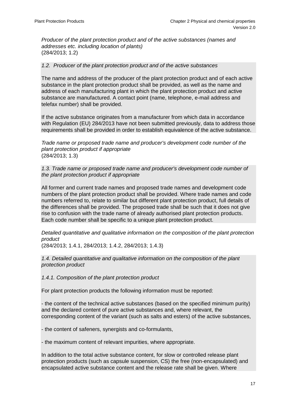*Producer of the plant protection product and of the active substances (names and addresses etc. including location of plants)*  (284/2013; 1.2)

#### *1.2. Producer of the plant protection product and of the active substances*

The name and address of the producer of the plant protection product and of each active substance in the plant protection product shall be provided, as well as the name and address of each manufacturing plant in which the plant protection product and active substance are manufactured. A contact point (name, telephone, e-mail address and telefax number) shall be provided.

If the active substance originates from a manufacturer from which data in accordance with Regulation (EU) 284/2013 have not been submitted previously, data to address those requirements shall be provided in order to establish equivalence of the active substance.

*Trade name or proposed trade name and producer's development code number of the plant protection product if appropriate* (284/2013; 1.3)

*1.3. Trade name or proposed trade name and producer's development code number of the plant protection product if appropriate*

All former and current trade names and proposed trade names and development code numbers of the plant protection product shall be provided. Where trade names and code numbers referred to, relate to similar but different plant protection product, full details of the differences shall be provided. The proposed trade shall be such that it does not give rise to confusion with the trade name of already authorised plant protection products. Each code number shall be specific to a unique plant protection product.

*Detailed quantitative and qualitative information on the composition of the plant protection product*

(284/2013; 1.4.1, 284/2013; 1.4.2, 284/2013; 1.4.3)

*1.4. Detailed quantitative and qualitative information on the composition of the plant protection product*

*1.4.1. Composition of the plant protection product*

For plant protection products the following information must be reported:

- the content of the technical active substances (based on the specified minimum purity) and the declared content of pure active substances and, where relevant, the corresponding content of the variant (such as salts and esters) of the active substances,

- the content of safeners, synergists and co-formulants,

- the maximum content of relevant impurities, where appropriate.

In addition to the total active substance content, for slow or controlled release plant protection products (such as capsule suspension, CS) the free (non-encapsulated) and encapsulated active substance content and the release rate shall be given. Where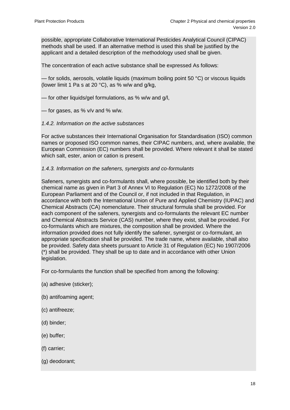possible, appropriate Collaborative International Pesticides Analytical Council (CIPAC) methods shall be used. If an alternative method is used this shall be justified by the applicant and a detailed description of the methodology used shall be given.

The concentration of each active substance shall be expressed As follows:

— for solids, aerosols, volatile liquids (maximum boiling point 50 °C) or viscous liquids (lower limit 1 Pa s at 20  $^{\circ}$ C), as % w/w and g/kg,

— for other liquids/gel formulations, as % w/w and g/l,

- for gases, as %  $v/v$  and %  $w/w$ .
- *1.4.2. Information on the active substances*

For active substances their International Organisation for Standardisation (ISO) common names or proposed ISO common names, their CIPAC numbers, and, where available, the European Commission (EC) numbers shall be provided. Where relevant it shall be stated which salt, ester, anion or cation is present.

#### *1.4.3. Information on the safeners, synergists and co-formulants*

Safeners, synergists and co-formulants shall, where possible, be identified both by their chemical name as given in Part 3 of Annex VI to Regulation (EC) No 1272/2008 of the European Parliament and of the Council or, if not included in that Regulation, in accordance with both the International Union of Pure and Applied Chemistry (IUPAC) and Chemical Abstracts (CA) nomenclature. Their structural formula shall be provided. For each component of the safeners, synergists and co-formulants the relevant EC number and Chemical Abstracts Service (CAS) number, where they exist, shall be provided. For co-formulants which are mixtures, the composition shall be provided. Where the information provided does not fully identify the safener, synergist or co-formulant, an appropriate specification shall be provided. The trade name, where available, shall also be provided. Safety data sheets pursuant to Article 31 of Regulation (EC) No 1907/2006 (\*) shall be provided. They shall be up to date and in accordance with other Union legislation.

For co-formulants the function shall be specified from among the following:

- (a) adhesive (sticker);
- (b) antifoaming agent;
- (c) antifreeze;
- (d) binder;
- (e) buffer;
- (f) carrier;
- (g) deodorant;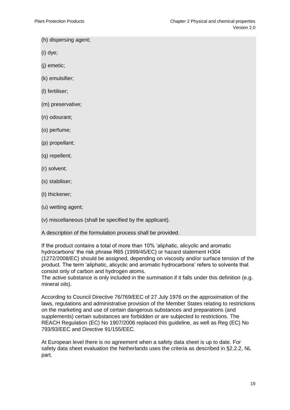- (h) dispersing agent;
- (i) dye;
- (j) emetic;
- (k) emulsifier;
- (l) fertiliser;
- (m) preservative;
- (n) odourant;
- (o) perfume;
- (p) propellant;
- (q) repellent;
- (r) solvent;
- (s) stabiliser;
- (t) thickener;
- (u) wetting agent;
- (v) miscellaneous (shall be specified by the applicant).
- A description of the formulation process shall be provided.
- If the product contains a total of more than 10% ‗aliphatic, alicyclic and aromatic hydrocarbons' the risk phrase R65 (1999/45/EC) or hazard statement H304 (1272/2008/EC) should be assigned, depending on viscosity and/or surface tension of the product. The term ‗aliphatic, alicyclic and aromatic hydrocarbons' refers to solvents that consist only of carbon and hydrogen atoms.
- The active substance is only included in the summation if it falls under this definition (e.g. mineral oils).
- According to Council Directive 76/769/EEC of 27 July 1976 on the approximation of the laws, regulations and administrative provision of the Member States relating to restrictions on the marketing and use of certain dangerous substances and preparations (and supplements) certain substances are forbidden or are subjected to restrictions. The REACH Regulation (EC) No 1907/2006 replaced this guideline, as well as Reg (EC) No 793/93/EEC and Directive 91/155/EEC.
- At European level there is no agreement when a safety data sheet is up to date. For safety data sheet evaluation the Netherlands uses the criteria as described in §2.2.2, NL part.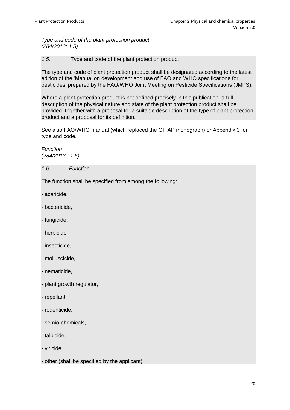*Type and code of the plant protection product (284/2013; 1.5)*

*1.5.* Type and code of the plant protection product

The type and code of plant protection product shall be designated according to the latest edition of the 'Manual on development and use of FAO and WHO specifications for pesticides' prepared by the FAO/WHO Joint Meeting on Pesticide Specifications (JMPS).

Where a plant protection product is not defined precisely in this publication, a full description of the physical nature and state of the plant protection product shall be provided, together with a proposal for a suitable description of the type of plant protection product and a proposal for its definition.

See also FAO/WHO manual (which replaced the GIFAP monograph) or Appendix 3 for type and code.

*Function (284/2013 ; 1.6)*

*1.6. Function* 

The function shall be specified from among the following:

- acaricide,
- bactericide,
- fungicide,
- herbicide
- insecticide,
- molluscicide,
- nematicide,
- plant growth regulator,
- repellant,
- rodenticide,
- semio-chemicals,
- talpicide,
- viricide,
- other (shall be specified by the applicant).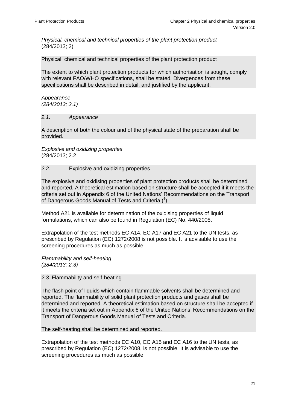*Physical, chemical and technical properties of the plant protection product* (284/2013; 2)

Physical, chemical and technical properties of the plant protection product

The extent to which plant protection products for which authorisation is sought, comply with relevant FAO/WHO specifications, shall be stated. Divergences from these specifications shall be described in detail, and justified by the applicant.

*Appearance (284/2013; 2.1)*

#### *2.1. Appearance*

A description of both the colour and of the physical state of the preparation shall be provided*.*

*Explosive and oxidizing properties*  (284/2013; 2.2

#### *2.2.* Explosive and oxidizing properties

The explosive and oxidising properties of plant protection products shall be determined and reported. A theoretical estimation based on structure shall be accepted if it meets the criteria set out in Appendix 6 of the United Nations' Recommendations on the Transport of Dangerous Goods Manual of Tests and Criteria  $(^1)$ 

Method A21 is available for determination of the oxidising properties of liquid formulations, which can also be found in Regulation (EC) No. 440/2008.

Extrapolation of the test methods EC A14, EC A17 and EC A21 to the UN tests, as prescribed by Regulation (EC) 1272/2008 is not possible. It is advisable to use the screening procedures as much as possible.

*Flammability and self-heating (284/2013; 2.3)*

*2.3.* Flammability and self-heating

The flash point of liquids which contain flammable solvents shall be determined and reported. The flammability of solid plant protection products and gases shall be determined and reported. A theoretical estimation based on structure shall be accepted if it meets the criteria set out in Appendix 6 of the United Nations' Recommendations on the Transport of Dangerous Goods Manual of Tests and Criteria.

The self-heating shall be determined and reported.

Extrapolation of the test methods EC A10, EC A15 and EC A16 to the UN tests, as prescribed by Regulation (EC) 1272/2008, is not possible. It is advisable to use the screening procedures as much as possible.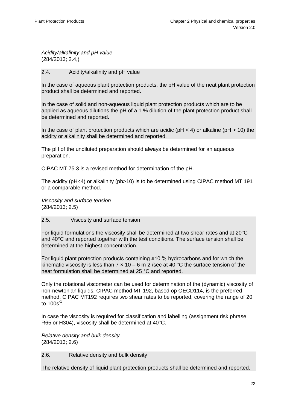*Acidity/alkalinity and pH value*  (284/2013; 2.4,)

#### 2.4. Acidity/alkalinity and pH value

In the case of aqueous plant protection products, the pH value of the neat plant protection product shall be determined and reported.

In the case of solid and non-aqueous liquid plant protection products which are to be applied as aqueous dilutions the pH of a 1 % dilution of the plant protection product shall be determined and reported.

In the case of plant protection products which are acidic ( $pH < 4$ ) or alkaline ( $pH > 10$ ) the acidity or alkalinity shall be determined and reported.

The pH of the undiluted preparation should always be determined for an aqueous preparation.

CIPAC MT 75.3 is a revised method for determination of the pH.

The acidity (pH<4) or alkalinity (ph>10) is to be determined using CIPAC method MT 191 or a comparable method.

*Viscosity and surface tension*  (284/2013; 2.5)

#### 2.5. Viscosity and surface tension

For liquid formulations the viscosity shall be determined at two shear rates and at 20°C and 40°C and reported together with the test conditions. The surface tension shall be determined at the highest concentration.

For liquid plant protection products containing  $\geq 10$  % hydrocarbons and for which the kinematic viscosity is less than  $7 \times 10 - 6$  m 2 /sec at 40 °C the surface tension of the neat formulation shall be determined at 25 °C and reported.

Only the rotational viscometer can be used for determination of the (dynamic) viscosity of non-newtonian liquids. CIPAC method MT 192, based op OECD114, is the preferred method. CIPAC MT192 requires two shear rates to be reported, covering the range of 20 to  $100$ s<sup>-1</sup>.

In case the viscosity is required for classification and labelling (assignment risk phrase R65 or H304), viscosity shall be determined at 40°C.

*Relative density and bulk density*  (284/2013; 2.6)

2.6. Relative density and bulk density

The relative density of liquid plant protection products shall be determined and reported.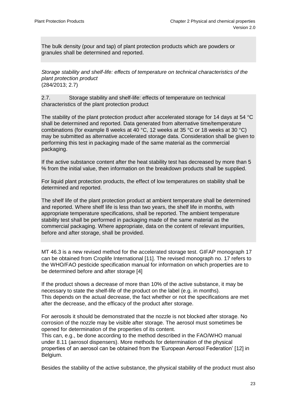The bulk density (pour and tap) of plant protection products which are powders or granules shall be determined and reported.

*Storage stability and shelf-life: effects of temperature on technical characteristics of the plant protection product*  (284/2013; 2.7)

2.7. Storage stability and shelf-life: effects of temperature on technical characteristics of the plant protection product

The stability of the plant protection product after accelerated storage for 14 days at 54 °C shall be determined and reported. Data generated from alternative time/temperature combinations (for example 8 weeks at 40 °C, 12 weeks at 35 °C or 18 weeks at 30 °C) may be submitted as alternative accelerated storage data. Consideration shall be given to performing this test in packaging made of the same material as the commercial packaging.

If the active substance content after the heat stability test has decreased by more than 5 % from the initial value, then information on the breakdown products shall be supplied.

For liquid plant protection products, the effect of low temperatures on stability shall be determined and reported.

The shelf life of the plant protection product at ambient temperature shall be determined and reported. Where shelf life is less than two years, the shelf life in months, with appropriate temperature specifications, shall be reported. The ambient temperature stability test shall be performed in packaging made of the same material as the commercial packaging. Where appropriate, data on the content of relevant impurities, before and after storage, shall be provided.

<span id="page-22-0"></span>MT 46.3 is a new revised method for the accelerated storage test. GIFAP monograph 17 can be obtained from Croplife International [11]. The revised monograph no. 17 refers to the WHO/FAO pesticide specification manual for information on which properties are to be determined before and after storage [4]

If the product shows a decrease of more than 10% of the active substance, it may be necessary to state the shelf-life of the product on the label (e.g. in months). This depends on the actual decrease, the fact whether or not the specifications are met after the decrease, and the efficacy of the product after storage.

For aerosols it should be demonstrated that the nozzle is not blocked after storage. No corrosion of the nozzle may be visible after storage. The aerosol must sometimes be opened for determination of the properties of its content.

This can, e.g., be done according to the method described in the FAO/WHO manual under 8.11 (aerosol dispensers). More methods for determination of the physical properties of an aerosol can be obtained from the ‗European Aerosol Federation' [12] in Belgium.

Besides the stability of the active substance, the physical stability of the product must also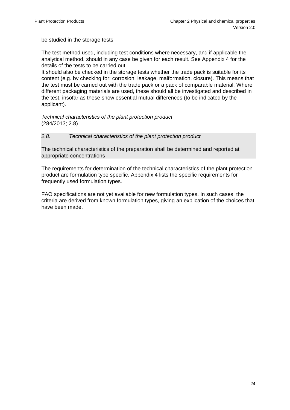be studied in the storage tests.

The test method used, including test conditions where necessary, and if applicable the analytical method, should in any case be given for each result. See Appendix 4 for the details of the tests to be carried out.

It should also be checked in the storage tests whether the trade pack is suitable for its content (e.g. by checking for: corrosion, leakage, malformation, closure). This means that the test must be carried out with the trade pack or a pack of comparable material. Where different packaging materials are used, these should all be investigated and described in the test, insofar as these show essential mutual differences (to be indicated by the applicant).

*Technical characteristics of the plant protection product*  (284/2013; 2.8)

#### *2.8. Technical characteristics of the plant protection product*

The technical characteristics of the preparation shall be determined and reported at appropriate concentrations

The requirements for determination of the technical characteristics of the plant protection product are formulation type specific. Appendix 4 lists the specific requirements for frequently used formulation types.

FAO specifications are not yet available for new formulation types. In such cases, the criteria are derived from known formulation types, giving an explication of the choices that have been made.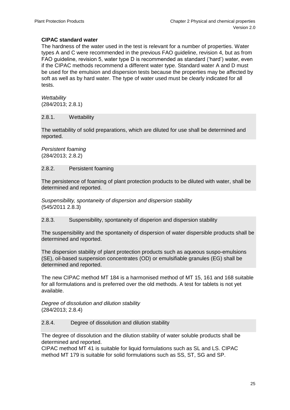# **CIPAC standard water**

The hardness of the water used in the test is relevant for a number of properties. Water types A and C were recommended in the previous FAO guideline, revision 4, but as from FAO guideline, revision 5, water type D is recommended as standard ('hard') water, even if the CIPAC methods recommend a different water type. Standard water A and D must be used for the emulsion and dispersion tests because the properties may be affected by soft as well as by hard water. The type of water used must be clearly indicated for all tests.

*Wettability* (284/2013; 2.8.1)

#### 2.8.1. Wettability

The wettability of solid preparations, which are diluted for use shall be determined and reported.

*Persistent foaming* (284/2013; 2.8.2)

#### 2.8.2. Persistent foaming

The persistence of foaming of plant protection products to be diluted with water, shall be determined and reported.

*Suspensibility, spontaneity of dispersion and dispersion stability*  (545/2011 2.8.3)

#### 2.8.3. Suspensibility, spontaneity of disperion and dispersion stability

The suspensibility and the spontaneity of dispersion of water dispersible products shall be determined and reported.

The dispersion stability of plant protection products such as aqueous suspo-emulsions (SE), oil-based suspension concentrates (OD) or emulsifiable granules (EG) shall be determined and reported.

The new CIPAC method MT 184 is a harmonised method of MT 15, 161 and 168 suitable for all formulations and is preferred over the old methods. A test for tablets is not yet available.

*Degree of dissolution and dilution stability*  (284/2013; 2.8.4)

#### 2.8.4. Degree of dissolution and dilution stability

The degree of dissolution and the dilution stability of water soluble products shall be determined and reported.

CIPAC method MT 41 is suitable for liquid formulations such as SL and LS. CIPAC method MT 179 is suitable for solid formulations such as SS, ST, SG and SP.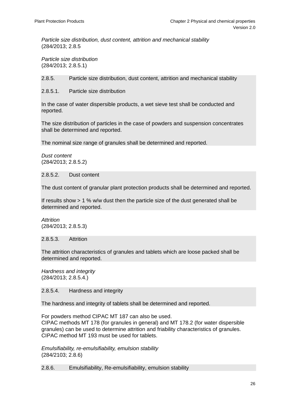*Particle size distribution, dust content, attrition and mechanical stability* (284/2013; 2.8.5

*Particle size distribution* (284/2013; 2.8.5.1)

2.8.5. Particle size distribution, dust content, attrition and mechanical stability

2.8.5.1. Particle size distribution

In the case of water dispersible products, a wet sieve test shall be conducted and reported.

The size distribution of particles in the case of powders and suspension concentrates shall be determined and reported.

The nominal size range of granules shall be determined and reported.

*Dust content* (284/2013; 2.8.5.2)

2.8.5.2. Dust content

The dust content of granular plant protection products shall be determined and reported.

If results show > 1 % w/w dust then the particle size of the dust generated shall be determined and reported.

*Attrition* (284/2013; 2.8.5.3)

2.8.5.3. Attrition

The attrition characteristics of granules and tablets which are loose packed shall be determined and reported.

*Hardness and integrity* (284/2013; 2.8.5.4.)

2.8.5.4. Hardness and integrity

The hardness and integrity of tablets shall be determined and reported.

For powders method CIPAC MT 187 can also be used. CIPAC methods MT 178 (for granules in general) and MT 178.2 (for water dispersible granules) can be used to determine attrition and friability characteristics of granules. CIPAC method MT 193 must be used for tablets.

*Emulsifiability, re-emulsifiability, emulsion stability* (284/2103; 2.8.6)

2.8.6. Emulsifiability, Re-emulsifiability, emulsion stability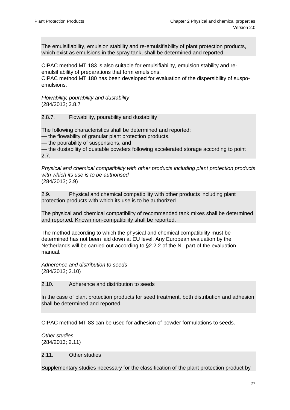The emulsifiability, emulsion stability and re-emulsifiability of plant protection products, which exist as emulsions in the spray tank, shall be determined and reported.

CIPAC method MT 183 is also suitable for emulsifiability, emulsion stability and reemulsifiability of preparations that form emulsions.

CIPAC method MT 180 has been developed for evaluation of the dispersibility of suspoemulsions.

*Flowability, pourability and dustability*  (284/2013; 2.8.7

2.8.7. Flowability, pourability and dustability

The following characteristics shall be determined and reported:

— the flowability of granular plant protection products,

— the pourability of suspensions, and

— the dustability of dustable powders following accelerated storage according to point 2.7.

*Physical and chemical compatibility with other products including plant protection products with which its use is to be authorised*  (284/2013; 2.9)

2.9. Physical and chemical compatibility with other products including plant protection products with which its use is to be authorized

The physical and chemical compatibility of recommended tank mixes shall be determined and reported. Known non-compatibility shall be reported.

The method according to which the physical and chemical compatibility must be determined has not been laid down at EU level. Any European evaluation by the Netherlands will be carried out according to §2.2.2 of the NL part of the evaluation manual.

*Adherence and distribution to seeds*  (284/2013; 2.10)

2.10. Adherence and distribution to seeds

In the case of plant protection products for seed treatment, both distribution and adhesion shall be determined and reported.

CIPAC method MT 83 can be used for adhesion of powder formulations to seeds.

*Other studies* (284/2013; 2.11)

2.11. Other studies

Supplementary studies necessary for the classification of the plant protection product by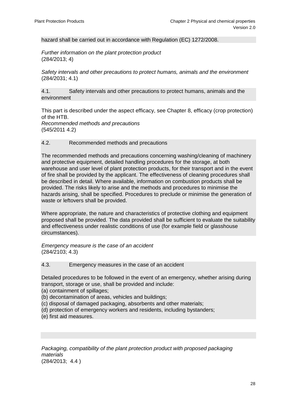hazard shall be carried out in accordance with Regulation (EC) 1272/2008.

*Further information on the plant protection product* (284/2013; 4)

*Safety intervals and other precautions to protect humans, animals and the environment* (284/2031; 4.1)

4.1. Safety intervals and other precautions to protect humans, animals and the environment

This part is described under the aspect efficacy, see Chapter 8, efficacy (crop protection) of the HTB.

*Recommended methods and precautions*  (545/2011 4.2)

#### 4.2. Recommended methods and precautions

The recommended methods and precautions concerning washing/cleaning of machinery and protective equipment, detailed handling procedures for the storage, at both warehouse and user level of plant protection products, for their transport and in the event of fire shall be provided by the applicant. The effectiveness of cleaning procedures shall be described in detail. Where available, information on combustion products shall be provided. The risks likely to arise and the methods and procedures to minimise the hazards arising, shall be specified. Procedures to preclude or minimise the generation of waste or leftovers shall be provided.

Where appropriate, the nature and characteristics of protective clothing and equipment proposed shall be provided. The data provided shall be sufficient to evaluate the suitability and effectiveness under realistic conditions of use (for example field or glasshouse circumstances).

*Emergency measure is the case of an accident* (284/2103; 4.3)

4.3. Emergency measures in the case of an accident

Detailed procedures to be followed in the event of an emergency, whether arising during transport, storage or use, shall be provided and include:

- (a) containment of spillages;
- (b) decontamination of areas, vehicles and buildings;
- (c) disposal of damaged packaging, absorbents and other materials;
- (d) protection of emergency workers and residents, including bystanders;
- (e) first aid measures.

Packaging, compatibility of the plant protection product with proposed packaging *materials*  (284/2013; 4.4 )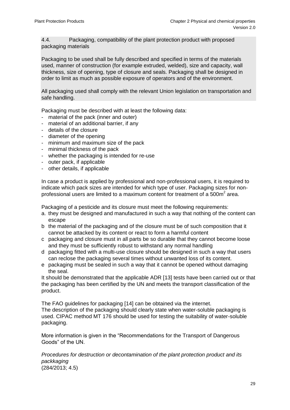4.4. Packaging, compatibility of the plant protection product with proposed packaging materials

Packaging to be used shall be fully described and specified in terms of the materials used, manner of construction (for example extruded, welded), size and capacity, wall thickness, size of opening, type of closure and seals. Packaging shall be designed in order to limit as much as possible exposure of operators and of the environment.

All packaging used shall comply with the relevant Union legislation on transportation and safe handling.

Packaging must be described with at least the following data:

- material of the pack (inner and outer)
- material of an additional barrier, if any
- details of the closure
- diameter of the opening
- minimum and maximum size of the pack
- minimal thickness of the pack
- whether the packaging is intended for re-use
- outer pack, if applicable
- other details, if applicable

In case a product is applied by professional and non-professional users, it is required to indicate which pack sizes are intended for which type of user. Packaging sizes for nonprofessional users are limited to a maximum content for treatment of a 500m<sup>2</sup> area.

Packaging of a pesticide and its closure must meet the following requirements:

- a. they must be designed and manufactured in such a way that nothing of the content can escape
- b the material of the packaging and of the closure must be of such composition that it cannot be attacked by its content or react to form a harmful content
- c packaging and closure must in all parts be so durable that they cannot become loose and they must be sufficiently robust to withstand any normal handling
- d packaging fitted with a multi-use closure should be designed in such a way that users can reclose the packaging several times without unwanted loss of its content.
- e packaging must be sealed in such a way that it cannot be opened without damaging the seal.

It should be demonstrated that the applicable ADR [13] tests have been carried out or that the packaging has been certified by the UN and meets the transport classification of the product.

The FAO guidelines for packaging [14] can be obtained via the internet. The description of the packaging should clearly state when water-soluble packaging is used. CIPAC method MT 176 should be used for testing the suitability of water-soluble packaging.

More information is given in the "Recommendations for the Transport of Dangerous Goods" of the UN.

*Procedures for destruction or decontamination of the plant protection product and its packkaging* (284/2013; 4.5)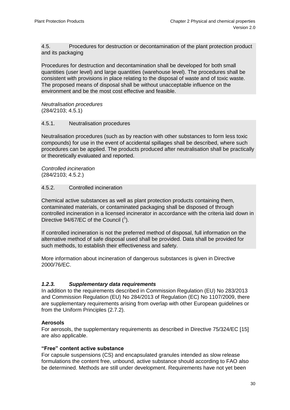4.5. Procedures for destruction or decontamination of the plant protection product and its packaging

Procedures for destruction and decontamination shall be developed for both small quantities (user level) and large quantities (warehouse level). The procedures shall be consistent with provisions in place relating to the disposal of waste and of toxic waste. The proposed means of disposal shall be without unacceptable influence on the environment and be the most cost effective and feasible.

*Neutralisation procedures* (284/2103; 4.5.1)

#### 4.5.1. Neutralisation procedures

Neutralisation procedures (such as by reaction with other substances to form less toxic compounds) for use in the event of accidental spillages shall be described, where such procedures can be applied. The products produced after neutralisation shall be practically or theoretically evaluated and reported.

*Controlled incineration* (284/2103; 4.5.2.)

#### 4.5.2. Controlled incineration

Chemical active substances as well as plant protection products containing them, contaminated materials, or contaminated packaging shall be disposed of through controlled incineration in a licensed incinerator in accordance with the criteria laid down in Directive 94/67/EC of the Council  $(^1)$ .

If controlled incineration is not the preferred method of disposal, full information on the alternative method of safe disposal used shall be provided. Data shall be provided for such methods, to establish their effectiveness and safety.

More information about incineration of dangerous substances is given in Directive 2000/76/EC.

#### <span id="page-29-0"></span>*1.2.3. Supplementary data requirements*

In addition to the requirements described in Commission Regulation (EU) No 283/2013 and Commission Regulation (EU) No 284/2013 of Regulation (EC) No 1107/2009, there are supplementary requirements arising from overlap with other European guidelines or from the Uniform Principles (2.7.2).

#### **Aerosols**

For aerosols, the supplementary requirements as described in Directive 75/324/EC [15] are also applicable.

#### **"Free" content active substance**

For capsule suspensions (CS) and encapsulated granules intended as slow release formulations the content free, unbound, active substance should according to FAO also be determined. Methods are still under development. Requirements have not yet been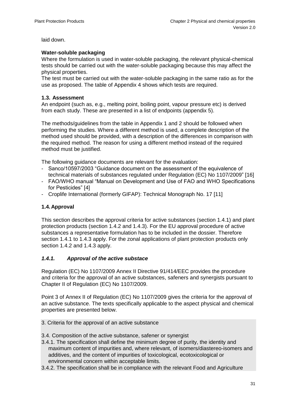laid down.

#### **Water-soluble packaging**

Where the formulation is used in water-soluble packaging, the relevant physical-chemical tests should be carried out with the water-soluble packaging because this may affect the physical properties.

The test must be carried out with the water-soluble packaging in the same ratio as for the use as proposed. The table of Appendix 4 shows which tests are required.

#### <span id="page-30-0"></span>**1.3. Assessment**

An endpoint (such as, e.g., melting point, boiling point, vapour pressure etc) is derived from each study. These are presented in a list of endpoints (appendix 5).

The methods/guidelines from the table in Appendix 1 and 2 should be followed when performing the studies. Where a different method is used, a complete description of the method used should be provided, with a description of the differences in comparison with the required method. The reason for using a different method instead of the required method must be justified.

The following guidance documents are relevant for the evaluation:

- Sanco/10597/2003 "Guidance document on the assessment of the equivalence of technical materials of substances regulated under Regulation (EC) No 1107/2009" [16]
- FAO/WHO manual "Manual on Development and Use of FAO and WHO Specifications for Pesticides" [\[4\]](#page-3-2)
- Croplife International (formerly GIFAP): Technical Monograph No. 17 [\[11\]](#page-22-0)

#### <span id="page-30-1"></span>**1.4.Approval**

This section describes the approval criteria for active substances (section 1.4.1) and plant protection products (section 1.4.2 and 1.4.3). For the EU approval procedure of active substances a representative formulation has to be included in the dossier. Therefore section 1.4.1 to 1.4.3 apply. For the zonal applications of plant protection products only section 1.4.2 and 1.4.3 apply.

#### *1.4.1. Approval of the active substace*

Regulation (EC) No 1107/2009 Annex II Directive 91/414/EEC provides the procedure and criteria for the approval of an active substances, safeners and synergists pursuant to Chapter II of Regulation (EC) No 1107/2009.

Point 3 of Annex II of Regulation (EC) No 1107/2009 gives the criteria for the approval of an active substance. The texts specifically applicable to the aspect physical and chemical properties are presented below.

- 3. Criteria for the approval of an active substance
- 3.4. Composition of the active substance, safener or synergist
- 3.4.1. The specification shall define the minimum degree of purity, the identity and maximum content of impurities and, where relevant, of isomers/diastereo-isomers and additives, and the content of impurities of toxicological, ecotoxicological or environmental concern within acceptable limits.
- 3.4.2. The specification shall be in compliance with the relevant Food and Agriculture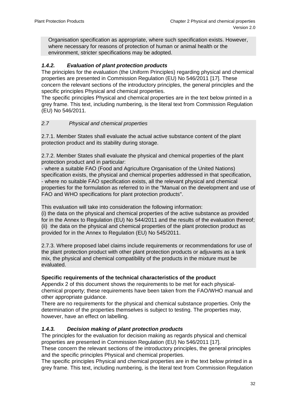<span id="page-31-2"></span>Organisation specification as appropriate, where such specification exists. However, where necessary for reasons of protection of human or animal health or the environment, stricter specifications may be adopted.

# <span id="page-31-0"></span>*1.4.2. Evaluation of plant protection products*

The principles for the evaluation (the Uniform Principles) regarding physical and chemical properties are presented in Commission Regulation (EU) No 546/2011 [17]. These concern the relevant sections of the introductory principles, the general principles and the specific principles Physical and chemical properties.

The specific principles Physical and chemical properties are in the text below printed in a grey frame. This text, including numbering, is the literal text from Commission Regulation (EU) No 546/2011.

# *2.7 Physical and chemical properties*

2.7.1. Member States shall evaluate the actual active substance content of the plant protection product and its stability during storage.

2.7.2. Member States shall evaluate the physical and chemical properties of the plant protection product and in particular:

- where a suitable FAO (Food and Agriculture Organisation of the United Nations) specification exists, the physical and chemical properties addressed in that specification, - where no suitable FAO specification exists, all the relevant physical and chemical properties for the formulation as referred to in the "Manual on the development and use of FAO and WHO specifications for plant protection products".

This evaluation will take into consideration the following information:

(i) the data on the physical and chemical properties of the active substance as provided for in the Annex to Regulation (EU) No 544/2011 and the results of the evaluation thereof; (ii) the data on the physical and chemical properties of the plant protection product as provided for in the Annex to Regulation (EU) No 545/2011.

2.7.3. Where proposed label claims include requirements or recommendations for use of the plant protection product with other plant protection products or adjuvants as a tank mix, the physical and chemical compatibility of the products in the mixture must be evaluated.

#### **Specific requirements of the technical characteristics of the product**

Appendix 2 of this document shows the requirements to be met for each physicalchemical property; these requirements have been taken from the FAO/WHO manual and other appropriate guidance.

There are no requirements for the physical and chemical substance properties. Only the determination of the properties themselves is subject to testing. The properties may, however, have an effect on labelling.

# <span id="page-31-1"></span>*1.4.3. Decision making of plant protection products*

The principles for the evaluation for decision making as regards physical and chemical properties are presented in Commission Regulation (EU) No 546/2011 [\[17\]](#page-31-2). These concern the relevant sections of the introductory principles, the general principles and the specific principles Physical and chemical properties.

The specific principles Physical and chemical properties are in the text below printed in a grey frame. This text, including numbering, is the literal text from Commission Regulation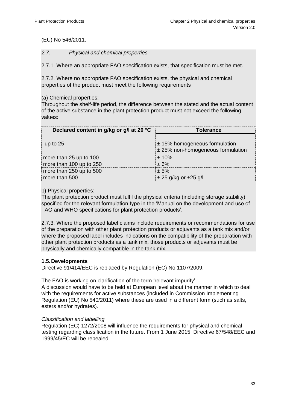#### (EU) No 546/2011.

#### *2.7. Physical and chemical properties*

2.7.1. Where an appropriate FAO specification exists, that specification must be met.

2.7.2. Where no appropriate FAO specification exists, the physical and chemical properties of the product must meet the following requirements

(a) Chemical properties:

Throughout the shelf-life period, the difference between the stated and the actual content of the active substance in the plant protection product must not exceed the following values:

| Declared content in g/kg or g/l at 20 °C | <b>Tolerance</b>                  |
|------------------------------------------|-----------------------------------|
|                                          |                                   |
| up to $25$                               | $\pm$ 15% homogeneous formulation |
|                                          | ± 25% non-homogeneous formulation |
| more than 25 up to 100                   | ± 10%                             |
| more than 100 up to 250                  | $+6%$                             |
| more than 250 up to 500                  | $+5%$                             |
| more than 500                            | $\pm$ 25 g/kg or $\pm$ 25 g/l     |

#### b) Physical properties:

The plant protection product must fulfil the physical criteria (including storage stability) specified for the relevant formulation type in the 'Manual on the development and use of FAO and WHO specifications for plant protection products'.

2.7.3. Where the proposed label claims include requirements or recommendations for use of the preparation with other plant protection products or adjuvants as a tank mix and/or where the proposed label includes indications on the compatibility of the preparation with other plant protection products as a tank mix, those products or adjuvants must be physically and chemically compatible in the tank mix.

#### <span id="page-32-0"></span>**1.5.Developments**

Directive 91/414/EEC is replaced by Regulation (EC) No 1107/2009.

The FAO is working on clarification of the term 'relevant impurity'.

A discussion would have to be held at European level about the manner in which to deal with the requirements for active substances (included in Commission Implementing Regulation (EU) No 540/2011) where these are used in a different form (such as salts, esters and/or hydrates).

#### *Classification and labelling*

Regulation (EC) 1272/2008 will influence the requirements for physical and chemical testing regarding classification in the future. From 1 June 2015, Directive 67/548/EEC and 1999/45/EC will be repealed.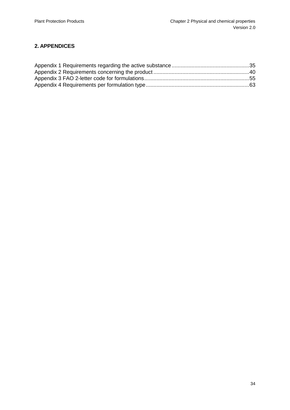# <span id="page-33-0"></span>**2. APPENDICES**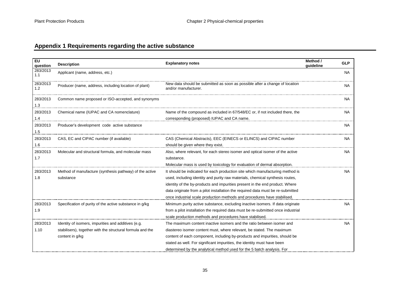# **Appendix 1 Requirements regarding the active substance**

<span id="page-34-0"></span>

| EU<br>question   | <b>Description</b>                                                                                                                   | <b>Explanatory notes</b>                                                                                                                                                                                                                                                                                                                                                                                      | Method /<br>guideline | <b>GLP</b> |
|------------------|--------------------------------------------------------------------------------------------------------------------------------------|---------------------------------------------------------------------------------------------------------------------------------------------------------------------------------------------------------------------------------------------------------------------------------------------------------------------------------------------------------------------------------------------------------------|-----------------------|------------|
| 283/2013<br>1.1  | Applicant (name, address, etc.)                                                                                                      |                                                                                                                                                                                                                                                                                                                                                                                                               |                       | <b>NA</b>  |
| 283/2013<br>1.2  | Producer (name, address, including location of plant)                                                                                | New data should be submitted as soon as possible after a change of location<br>and/or manufacturer.                                                                                                                                                                                                                                                                                                           |                       | <b>NA</b>  |
| 283/2013<br>1.3  | Common name proposed or ISO-accepted, and synonyms                                                                                   |                                                                                                                                                                                                                                                                                                                                                                                                               |                       | <b>NA</b>  |
| 283/2013<br>1.4  | Chemical name (IUPAC and CA nomenclature)                                                                                            | Name of the compound as included in 67/548/EC or, if not included there, the<br>corresponding (proposed) IUPAC and CA name.                                                                                                                                                                                                                                                                                   |                       | <b>NA</b>  |
| 283/2013<br>1.5  | Producer's development code active substance                                                                                         |                                                                                                                                                                                                                                                                                                                                                                                                               |                       | <b>NA</b>  |
| 283/2013<br>1.6  | CAS, EC and CIPAC number (if available)                                                                                              | CAS (Chemical Abstracts), EEC (EINECS or ELINCS) and CIPAC number<br>should be given where they exist.                                                                                                                                                                                                                                                                                                        |                       | <b>NA</b>  |
| 283/2013<br>1.7  | Molecular and structural formula, and molecular mass                                                                                 | Also, where relevant, for each stereo isomer and optical isomer of the active<br>substance.<br>Molecular mass is used by toxicology for evaluation of dermal absorption.                                                                                                                                                                                                                                      |                       | <b>NA</b>  |
| 283/2013<br>1.8  | Method of manufacture (synthesis pathway) of the active<br>substance                                                                 | It should be indicated for each production site which manufacturing method is<br>used, including identity and purity raw materials, chemical synthesis routes,<br>identity of the by-products and impurities present in the end product. Where<br>data originate from a pilot installation the required data must be re-submitted<br>once industrial scale production methods and procedures have stabilised. |                       | <b>NA</b>  |
| 283/2013<br>1.9  | Specification of purity of the active substance in g/kg                                                                              | Minimum purity active substance, excluding inactive isomers. If data originate<br>from a pilot installation the required data must be re-submitted once industrial<br>scale production methods and procedures have stabilised.                                                                                                                                                                                |                       | <b>NA</b>  |
| 283/2013<br>1.10 | Identity of isomers, impurities and additives (e.g.<br>stabilisers), together with the structural formula and the<br>content in g/kg | The maximum content inactive isomers and the ratio between isomer and<br>diastereo isomer content must, where relevant, be stated. The maximum<br>content of each component, including by-products and impurities, should be<br>stated as well. For significant impurities, the identity must have been<br>determined by the analytical method used for the 5 batch analysis. For                             |                       | NA         |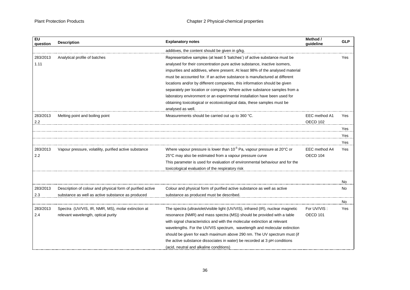| EU<br>auestion | <b>Description</b>                                         | <b>Explanatory notes</b>                                                            | Method /<br>quideline | <b>GLP</b> |
|----------------|------------------------------------------------------------|-------------------------------------------------------------------------------------|-----------------------|------------|
|                |                                                            | additives, the content should be given in g/kg.                                     |                       |            |
| 283/2013       | Analytical profile of batches                              | Representative samples (at least 5 'batches') of active substance must be           |                       | Yes        |
| 1.11           |                                                            | analysed for their concentration pure active substance, inactive isomers,           |                       |            |
|                |                                                            | impurities and additives, where present. At least 98% of the analysed material      |                       |            |
|                |                                                            | must be accounted for. If an active substance is manufactured at different          |                       |            |
|                |                                                            | locations and/or by different companies, this information should be given           |                       |            |
|                |                                                            | separately per location or company. Where active substance samples from a           |                       |            |
|                |                                                            | laboratory environment or an experimental installation have been used for           |                       |            |
|                |                                                            | obtaining toxicological or ecotoxicological data, these samples must be             |                       |            |
|                |                                                            | analysed as well.                                                                   |                       |            |
| 283/2013       | Melting point and boiling point                            | Measurements should be carried out up to 360 °C.                                    | EEC method A1         | Yes        |
| 2.2            |                                                            |                                                                                     | OECD 102              |            |
|                |                                                            |                                                                                     |                       | Yes        |
|                |                                                            |                                                                                     |                       | Yes        |
|                |                                                            |                                                                                     |                       | Yes        |
| 283/2013       | Vapour pressure, volatility, purified active substance     | Where vapour pressure is lower than 10 <sup>-5</sup> Pa, vapour pressure at 20°C or | EEC method A4         | Yes        |
| 2.2            |                                                            | 25°C may also be estimated from a vapour pressure curve                             | OECD 104              |            |
|                |                                                            | This parameter is used for evaluation of environmental behaviour and for the        |                       |            |
|                |                                                            | toxicological evaluation of the respiratory risk                                    |                       |            |
|                |                                                            |                                                                                     |                       |            |
|                |                                                            |                                                                                     |                       | <b>No</b>  |
| 283/2013       | Description of colour and physical form of purified active | Colour and physical form of purified active substance as well as active             |                       | No         |
| 2.3            | substance as well as active substance as produced          | substance as produced must be described.                                            |                       |            |
|                |                                                            |                                                                                     |                       | No         |
| 283/2013       | Spectra (UV/VIS, IR, NMR, MS), molar extinction at         | The spectra (ultraviolet/visible light (UV/VIS), infrared (IR), nuclear magnetic    | For UV/VIS:           | Yes        |
| 2.4            | relevant wavelength, optical purity                        | resonance (NMR) and mass spectra (MS)) should be provided with a table              | OECD <sub>101</sub>   |            |
|                |                                                            | with signal characteristics and with the molecular extinction at relevant           |                       |            |
|                |                                                            | wavelengths. For the UV/VIS spectrum, wavelength and molecular extinction           |                       |            |
|                |                                                            | should be given for each maximum above 290 nm. The UV spectrum must (if             |                       |            |
|                |                                                            | the active substance dissociates in water) be recorded at 3 pH conditions           |                       |            |
|                |                                                            | (acid, neutral and alkaline conditions)                                             |                       |            |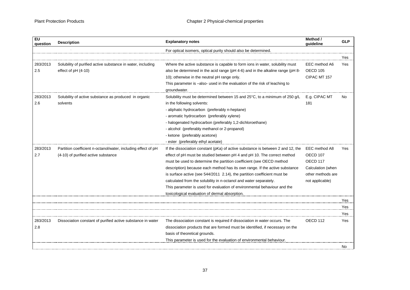| EU<br>question  | <b>Description</b>                                                                                   | <b>Explanatory notes</b>                                                                                                                                                                                                                                                                                                                                                                                                                                                                                                                                                                         | Method /<br>quideline                                                                                                    | <b>GLP</b> |
|-----------------|------------------------------------------------------------------------------------------------------|--------------------------------------------------------------------------------------------------------------------------------------------------------------------------------------------------------------------------------------------------------------------------------------------------------------------------------------------------------------------------------------------------------------------------------------------------------------------------------------------------------------------------------------------------------------------------------------------------|--------------------------------------------------------------------------------------------------------------------------|------------|
|                 |                                                                                                      | For optical isomers, optical purity should also be determined.                                                                                                                                                                                                                                                                                                                                                                                                                                                                                                                                   |                                                                                                                          |            |
|                 |                                                                                                      |                                                                                                                                                                                                                                                                                                                                                                                                                                                                                                                                                                                                  |                                                                                                                          | Yes        |
| 283/2013<br>2.5 | Solubility of purified active substance in water, including<br>effect of $pH(4-10)$                  | Where the active substance is capable to form ions in water, solubility must<br>also be determined in the acid range (pH 4-6) and in the alkaline range (pH 8-<br>10); otherwise in the neutral pH range only.<br>This parameter is -also- used in the evaluation of the risk of leaching to<br>aroundwater.                                                                                                                                                                                                                                                                                     | EEC method A6<br>OECD 105<br>CIPAC MT 157                                                                                | Yes        |
| 283/2013<br>2.6 | Solubility of active substance as produced in organic<br>solvents                                    | Solubility must be determined between 15 and 25°C, to a minimum of 250 g/L<br>in the following solvents:<br>- aliphatic hydrocarbon (preferably n-heptane)<br>- aromatic hydrocarbon (preferably xylene)<br>- halogenated hydrocarbon (preferably 1,2-dichloroethane)<br>- alcohol (preferably methanol or 2-propanol)<br>- ketone (preferably acetone)<br>- ester (preferably ethyl acetate)                                                                                                                                                                                                    | E.g. CIPAC MT<br>181                                                                                                     | No.        |
| 283/2013<br>2.7 | Partition coefficient n-octanol/water, including effect of pH<br>(4-10) of purified active substance | If the dissociation constant (pKa) of active substance is between 2 and 12, the<br>effect of pH must be studied between pH 4 and pH 10. The correct method<br>must be used to determine the partition coefficient (see OECD method<br>description) because each method has its own range. If the active substance<br>is surface active (see 544/2011 2.14), the partition coefficient must be<br>calculated from the solubility in n-octanol and water separately.<br>This parameter is used for evaluation of environmental behaviour and the<br>toxicological evaluation of dermal absorption. | EEC method A8<br>OECD <sub>107</sub><br>OECD <sub>117</sub><br>Calculation (when<br>other methods are<br>not applicable) | Yes        |
|                 |                                                                                                      |                                                                                                                                                                                                                                                                                                                                                                                                                                                                                                                                                                                                  |                                                                                                                          | Yes        |
|                 |                                                                                                      |                                                                                                                                                                                                                                                                                                                                                                                                                                                                                                                                                                                                  |                                                                                                                          | Yes        |
|                 |                                                                                                      |                                                                                                                                                                                                                                                                                                                                                                                                                                                                                                                                                                                                  |                                                                                                                          | Yes        |
| 283/2013<br>2.8 | Dissociation constant of purified active substance in water                                          | The dissociation constant is required if dissociation in water occurs. The<br>dissociation products that are formed must be identified, if necessary on the<br>basis of theoretical grounds.<br>This parameter is used for the evaluation of environmental behaviour.                                                                                                                                                                                                                                                                                                                            | OECD <sub>112</sub>                                                                                                      | Yes        |
|                 |                                                                                                      |                                                                                                                                                                                                                                                                                                                                                                                                                                                                                                                                                                                                  |                                                                                                                          | No         |
|                 |                                                                                                      |                                                                                                                                                                                                                                                                                                                                                                                                                                                                                                                                                                                                  |                                                                                                                          |            |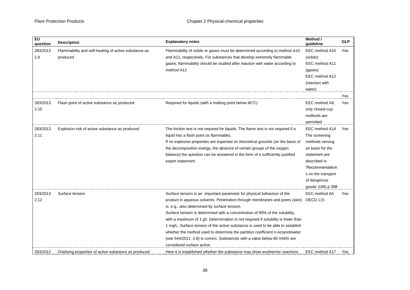| $E$ U<br>question | <b>Description</b>                                               | <b>Explanatory notes</b>                                                                                                                             | Method /<br>quideline      | <b>GLP</b> |
|-------------------|------------------------------------------------------------------|------------------------------------------------------------------------------------------------------------------------------------------------------|----------------------------|------------|
| 283/2013<br>2.9   | Flammability and self-heating of active substance as<br>produced | Flammability of solids or gases must be determined according to method A10<br>and A11, respectively. For substances that develop extremely flammable | EEC method A10<br>(solids) | Yes        |
|                   |                                                                  | gases, flammability should be studied after reaction with water according to                                                                         | EEC method A11             |            |
|                   |                                                                  | method A12                                                                                                                                           | (gases)                    |            |
|                   |                                                                  |                                                                                                                                                      | EEC method A12             |            |
|                   |                                                                  |                                                                                                                                                      | (reaction with             |            |
|                   |                                                                  |                                                                                                                                                      | water)                     |            |
|                   |                                                                  |                                                                                                                                                      |                            | Yes        |
| 283/2013          | Flash point of active substance as produced                      | Required for liquids (with a melting point below 40°C)                                                                                               | EEC method A9.             | Yes        |
| 2.10              |                                                                  |                                                                                                                                                      | only closed-cup            |            |
|                   |                                                                  |                                                                                                                                                      | methods are                |            |
|                   |                                                                  |                                                                                                                                                      | permitted                  |            |
| 283/2013          | Explosion risk of active substance as produced                   | The friction test is not required for liquids. The flame test is not required if a                                                                   | EEC method A14             | Yes        |
| 2.11              |                                                                  | liquid has a flash point (is flammable).                                                                                                             | The screening              |            |
|                   |                                                                  | If no explosive properties are expected on theoretical grounds (on the basis of                                                                      | methods serving            |            |
|                   |                                                                  | the decomposition energy, the absence of certain groups of the oxygen                                                                                | as basis for the           |            |
|                   |                                                                  | balance) the question can be answered in the form of a sufficiently justified                                                                        | statement are              |            |
|                   |                                                                  | expert statement.                                                                                                                                    | described in               |            |
|                   |                                                                  |                                                                                                                                                      | 'Recommendation            |            |
|                   |                                                                  |                                                                                                                                                      | s on the transport         |            |
|                   |                                                                  |                                                                                                                                                      | of dangerous               |            |
|                   |                                                                  |                                                                                                                                                      | goods' (UN) p 398          |            |
| 283/2013          | Surface tension                                                  | Surface tension is an important parameter for physical behaviour of the                                                                              | EEC method A5              | Yes        |
| 2.12              |                                                                  | product in aqueous solvents. Penetration through membranes and pores (skin)                                                                          | OECD 115                   |            |
|                   |                                                                  | is, e.g., also determined by surface tension.                                                                                                        |                            |            |
|                   |                                                                  | Surface tension is determined with a concentration of 90% of the solubility,                                                                         |                            |            |
|                   |                                                                  | with a maximum of 1 g/l. Determination is not required if solubility is lower than                                                                   |                            |            |
|                   |                                                                  | 1 mg/L. Surface tension of the active substance is used to be able to establish                                                                      |                            |            |
|                   |                                                                  | whether the method used to determine the partition coefficient n-octanol/water                                                                       |                            |            |
|                   |                                                                  | (see 544/2011 2.8) is correct. Substances with a value below 60 mN/m are                                                                             |                            |            |
|                   |                                                                  | considered surface active.                                                                                                                           |                            |            |
| 283/2013          | Oxidising properties of active substance as produced             | Here it is established whether the substance may show exothermic reactions                                                                           | EEC method A17             | Yes        |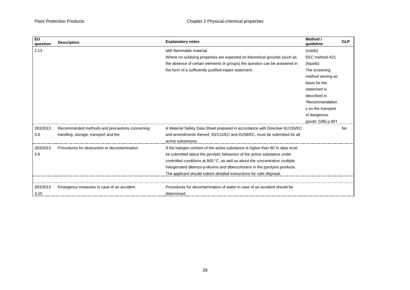| <b>EU</b><br>question | <b>Description</b>                             | <b>Explanatory notes</b>                                                     | Method /<br>guideline | <b>GLP</b> |
|-----------------------|------------------------------------------------|------------------------------------------------------------------------------|-----------------------|------------|
| 2.13                  |                                                | with flammable material.                                                     | (solids)              |            |
|                       |                                                | Where no oxidising properties are expected on theoretical grounds (such as   | EEC method A21        |            |
|                       |                                                | the absence of certain elements or groups) the question can be answered in   | (liquids)             |            |
|                       |                                                | the form of a sufficiently justified expert statement.                       | The screening         |            |
|                       |                                                |                                                                              | method serving as     |            |
|                       |                                                |                                                                              | basis for the         |            |
|                       |                                                |                                                                              | statement is          |            |
|                       |                                                |                                                                              | described in          |            |
|                       |                                                |                                                                              | 'Recommendation       |            |
|                       |                                                |                                                                              | s on the transport    |            |
|                       |                                                |                                                                              | of dangerous          |            |
|                       |                                                |                                                                              | goods' (UN) p 401     |            |
| 283/2013              | Recommended methods and precautions concerning | A Material Safety Data Sheet prepared in accordance with Directive 91/155/EC |                       | No.        |
| 3.8                   | handling, storage, transport and fire          | and amendments thereof, 93/112/EC and 01/58/EC, must be submitted for all    |                       |            |
|                       |                                                | active substances.                                                           |                       |            |
| 283/2013              | Procedures for destruction or decontamination  | If the halogen content of the active substance is higher than 60 % data must |                       |            |
| 3.9                   |                                                | be submitted about the pyrolytic behaviour of the active substance under     |                       |            |
|                       |                                                | controlled conditions at 800 °C, as well as about the concentration multiple |                       |            |
|                       |                                                | halogenated dibenzo-p-dioxins and dibenzofurans in the pyrolysis products.   |                       |            |
|                       |                                                | The applicant should submit detailed instructions for safe disposal.         |                       |            |
|                       |                                                |                                                                              |                       |            |
| 283/2013              | Emergency measures in case of an accident      | Procedures for decontamination of water in case of an accident should be     |                       |            |
| 3.10                  |                                                | determined.                                                                  |                       |            |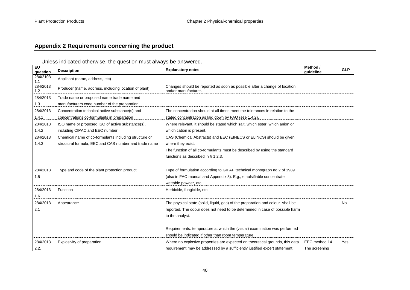# **Appendix 2 Requirements concerning the product**

# Unless indicated otherwise, the question must always be answered.

<span id="page-39-0"></span>

| <b>EU</b><br>question | <b>Description</b>                                    | <b>Explanatory notes</b>                                                                          | Method /<br>guideline | <b>GLP</b> |
|-----------------------|-------------------------------------------------------|---------------------------------------------------------------------------------------------------|-----------------------|------------|
| 284/2103<br>1.1       | Applicant (name, address, etc)                        |                                                                                                   |                       |            |
| 284/2013<br>1.2       | Producer (name, address, including location of plant) | Changes should be reported as soon as possible after a change of location<br>and/or manufacturer. |                       |            |
| 284/2013              | Trade name or proposed name trade name and            |                                                                                                   |                       |            |
| 1.3                   | manufacturers code number of the preparation          |                                                                                                   |                       |            |
| 284/2013              | Concentration technical active substance(s) and       | The concentration should at all times meet the tolerances in relation to the                      |                       |            |
| 1.4.1                 | concentrations co-formulants in preparation           | stated concentration as laid down by FAO (see 1.4.2).                                             |                       |            |
| 284/2013              | ISO name or proposed ISO of active substance(s),      | Where relevant, it should be stated which salt, which ester, which anion or                       |                       |            |
| 1.4.2                 | including CIPAC and EEC number                        | which cation is present.                                                                          |                       |            |
| 284/2013              | Chemical name of co-formulants including structure or | CAS (Chemical Abstracts) and EEC (EINECS or ELINCS) should be given                               |                       |            |
| 1.4.3                 | structural formula, EEC and CAS number and trade name | where they exist.                                                                                 |                       |            |
|                       |                                                       | The function of all co-formulants must be described by using the standard                         |                       |            |
|                       |                                                       | functions as described in § 1.2.3.                                                                |                       |            |
|                       |                                                       |                                                                                                   |                       |            |
| 284/2013              | Type and code of the plant protection product         | Type of formulation according to GIFAP technical monograph no 2 of 1989                           |                       |            |
| 1.5                   |                                                       | (also in FAO manual and Appendix 3). E.g., emulsifiable concentrate,                              |                       |            |
|                       |                                                       | wettable powder, etc.                                                                             |                       |            |
| 284/2013              | Function                                              | Herbicide, fungicide, etc                                                                         |                       |            |
| 1.6                   |                                                       |                                                                                                   |                       |            |
| 284/2013              | Appearance                                            | The physical state (solid, liquid, gas) of the preparation and colour shall be                    |                       | No         |
| 2.1                   |                                                       | reported. The odour does not need to be determined in case of possible harm                       |                       |            |
|                       |                                                       | to the analyst.                                                                                   |                       |            |
|                       |                                                       |                                                                                                   |                       |            |
|                       |                                                       | Requirements: temperature at which the (visual) examination was performed                         |                       |            |
|                       |                                                       | should be indicated if other than room temperature                                                |                       |            |
| 284/2013              | Explosivity of preparation                            | Where no explosive properties are expected on theoretical grounds, this data                      | EEC method 14         | Yes        |
| 2.2.                  |                                                       | requirement may be addressed by a sufficiently justified expert statement.                        | The screening         |            |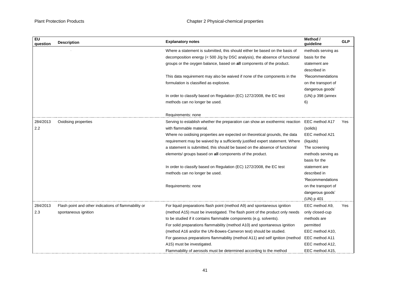| EU<br>question | <b>Description</b>                                   | <b>Explanatory notes</b>                                                      | Method /<br>guideline | <b>GLP</b> |
|----------------|------------------------------------------------------|-------------------------------------------------------------------------------|-----------------------|------------|
|                |                                                      | Where a statement is submitted, this should either be based on the basis of   | methods serving as    |            |
|                |                                                      | decomposition energy (< 500 J/g by DSC analysis), the absence of functional   | basis for the         |            |
|                |                                                      | groups or the oxygen balance, based on all components of the product.         | statement are         |            |
|                |                                                      |                                                                               | described in          |            |
|                |                                                      | This data requirement may also be waived if none of the components in the     | 'Recommendations      |            |
|                |                                                      | formulation is classified as explosive.                                       | on the transport of   |            |
|                |                                                      |                                                                               | dangerous goods'      |            |
|                |                                                      | In order to classify based on Regulation (EC) 1272/2008, the EC test          | (UN) p 398 (annex     |            |
|                |                                                      | methods can no longer be used.                                                | 6)                    |            |
|                |                                                      | Requirements: none                                                            |                       |            |
| 284/2013       | Oxidising properties                                 | Serving to establish whether the preparation can show an exothermic reaction  | EEC method A17        | Yes        |
| 2.2            |                                                      | with flammable material.                                                      | (solids)              |            |
|                |                                                      | Where no oxidising properties are expected on theoretical grounds, the data   | EEC method A21        |            |
|                |                                                      | requirement may be waived by a sufficiently justified expert statement. Where | (liquids)             |            |
|                |                                                      | a statement is submitted, this should be based on the absence of functional   | The screening         |            |
|                |                                                      | elements/ groups based on all components of the product.                      | methods serving as    |            |
|                |                                                      |                                                                               | basis for the         |            |
|                |                                                      | In order to classify based on Regulation (EC) 1272/2008, the EC test          | statement are         |            |
|                |                                                      | methods can no longer be used.                                                | described in          |            |
|                |                                                      |                                                                               | 'Recommendations      |            |
|                |                                                      | Requirements: none                                                            | on the transport of   |            |
|                |                                                      |                                                                               | dangerous goods'      |            |
|                |                                                      |                                                                               | (UN) p 401            |            |
| 284/2013       | Flash point and other indications of flammability or | For liquid preparations flash point (method A9) and spontaneous ignition      | EEC method A9,        | Yes        |
| 2.3            | spontaneous ignition                                 | (method A15) must be investigated. The flash point of the product only needs  | only closed-cup       |            |
|                |                                                      | to be studied if it contains flammable components (e.g. solvents).            | methods are           |            |
|                |                                                      | For solid preparations flammability (method A10) and spontaneous ignition     | permitted             |            |
|                |                                                      | (method A16 and/or the UN-Bowes-Cameron test) should be studied.              | EEC method A10,       |            |
|                |                                                      | For gaseous preparations flammability (method A11) and self ignition (method  | EEC method A11        |            |
|                |                                                      | A15) must be investigated.                                                    | EEC method A12,       |            |
|                |                                                      | Flammability of aerosols must be determined according to the method           | EEC method A15,       |            |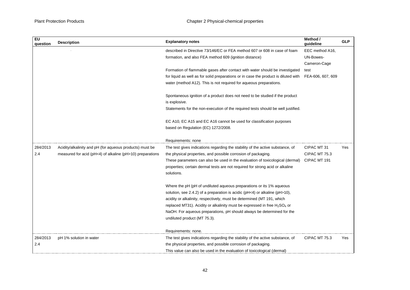| EU<br>question | <b>Description</b>                                        | <b>Explanatory notes</b>                                                                          | Method /<br>quideline | <b>GLP</b> |
|----------------|-----------------------------------------------------------|---------------------------------------------------------------------------------------------------|-----------------------|------------|
|                |                                                           | described in Directive 73/146/EC or FEA method 607 or 608 in case of foam                         | EEC method A16,       |            |
|                |                                                           | formation, and also FEA method 609 (ignition distance)                                            | UN-Bowes-             |            |
|                |                                                           |                                                                                                   | Cameron-Cage          |            |
|                |                                                           | Formation of flammable gases after contact with water should be investigated                      | test                  |            |
|                |                                                           | for liquid as well as for solid preparations or in case the product is diluted with               | FEA-606, 607, 609     |            |
|                |                                                           | water (method A12). This is not required for aqueous preparations.                                |                       |            |
|                |                                                           | Spontaneous ignition of a product does not need to be studied if the product<br>is explosive.     |                       |            |
|                |                                                           | Statements for the non-execution of the required tests should be well justified.                  |                       |            |
|                |                                                           | EC A10, EC A15 and EC A16 cannot be used for classification purposes                              |                       |            |
|                |                                                           | based on Regulation (EC) 1272/2008.                                                               |                       |            |
|                |                                                           | Requirements: none                                                                                |                       |            |
| 284/2013       | Acidity/alkalinity and pH (for aqueous products) must be  | The test gives indications regarding the stability of the active substance, of                    | CIPAC MT 31           | Yes        |
| 2.4            | measured for acid (pH<4) of alkaline (pH>10) preparations | the physical properties, and possible corrosion of packaging.                                     | CIPAC MT 75.3         |            |
|                |                                                           | These parameters can also be used in the evaluation of toxicological (dermal)                     | CIPAC MT 191          |            |
|                |                                                           | properties; certain dermal tests are not required for strong acid or alkaline                     |                       |            |
|                |                                                           | solutions.                                                                                        |                       |            |
|                |                                                           | Where the pH (pH of undiluted aqueous preparations or its 1% aqueous                              |                       |            |
|                |                                                           | solution, see 2.4.2) of a preparation is acidic (pH<4) or alkaline (pH>10),                       |                       |            |
|                |                                                           | acidity or alkalinity, respectively, must be determined (MT 191, which                            |                       |            |
|                |                                                           | replaced MT31). Acidity or alkalinity must be expressed in free H <sub>2</sub> SO <sub>4</sub> or |                       |            |
|                |                                                           | NaOH. For aqueous preparations, pH should always be determined for the                            |                       |            |
|                |                                                           | undiluted product (MT 75.3).                                                                      |                       |            |
|                |                                                           | Requirements: none.                                                                               |                       |            |
| 284/2013       | pH 1% solution in water                                   | The test gives indications regarding the stability of the active substance, of                    | CIPAC MT 75.3         | Yes        |
| $2.4\,$        |                                                           | the physical properties, and possible corrosion of packaging.                                     |                       |            |
|                |                                                           | This value can also be used in the evaluation of toxicological (dermal)                           |                       |            |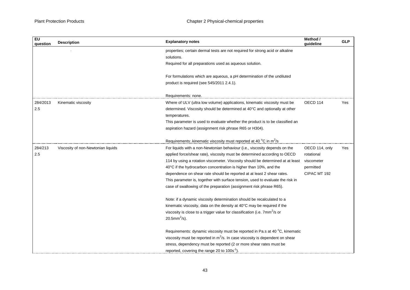| <b>Description</b>                 | <b>Explanatory notes</b>                                                              | guideline           | <b>GLP</b> |
|------------------------------------|---------------------------------------------------------------------------------------|---------------------|------------|
|                                    | properties; certain dermal tests are not required for strong acid or alkaline         |                     |            |
|                                    | solutions.                                                                            |                     |            |
|                                    | Required for all preparations used as aqueous solution.                               |                     |            |
|                                    | For formulations which are aqueous, a pH determination of the undiluted               |                     |            |
|                                    | product is required (see 545/2011 2.4.1).                                             |                     |            |
|                                    | Requirements: none.                                                                   |                     |            |
| Kinematic viscosity                | Where of ULV (ultra low volume) applications, kinematic viscosity must be             | OECD <sub>114</sub> | Yes        |
|                                    | determined. Viscosity should be determined at 40°C and optionally at other            |                     |            |
|                                    | temperatures.                                                                         |                     |            |
|                                    | This parameter is used to evaluate whether the product is to be classified an         |                     |            |
|                                    | aspiration hazard (assignment risk phrase R65 or H304).                               |                     |            |
|                                    | Requirements: kinematic viscosity must reported at 40 °C in m <sup>2</sup> /s         |                     |            |
| Viscosity of non-Newtonian liquids | For liquids with a non-Newtonian behaviour (i.e., viscosity depends on the            | OECD 114, only      | Yes        |
|                                    | applied force/shear rate), viscosity must be determined according to OECD             | rotational          |            |
|                                    | 114 by using a rotation viscometer. Viscosity should be determined at at least        | viscometer          |            |
|                                    | 40°C if the hydrocarbon concentration is higher than 10%, and the                     | permitted           |            |
|                                    | dependence on shear rate should be reported at at least 2 shear rates.                | CIPAC MT 192        |            |
|                                    | This parameter is, together with surface tension, used to evaluate the risk in        |                     |            |
|                                    | case of swallowing of the preparation (assignment risk phrase R65).                   |                     |            |
|                                    | Note: if a dynamic viscosity determination should be recalculated to a                |                     |            |
|                                    | kinematic viscosity, data on the density at 40°C may be required if the               |                     |            |
|                                    | viscosity is close to a trigger value for classification (i.e. 7mm <sup>2</sup> /s or |                     |            |
|                                    | 20.5mm <sup>2</sup> /s).                                                              |                     |            |
|                                    | Requirements: dynamic viscosity must be reported in Pa.s at 40 °C, kinematic          |                     |            |
|                                    | viscosity must be reported in $m^2/s$ . In case viscosity is dependent on shear       |                     |            |
|                                    | stress, dependency must be reported (2 or more shear rates must be                    |                     |            |
|                                    | reported, covering the range 20 to $100s^{-1}$ )                                      |                     |            |
|                                    |                                                                                       |                     | Method /   |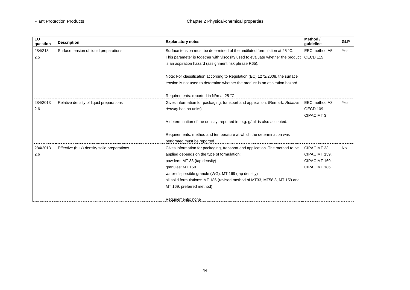| EU<br>question | <b>Description</b>                          | <b>Explanatory notes</b>                                                                           | Method /<br>guideline | <b>GLP</b> |
|----------------|---------------------------------------------|----------------------------------------------------------------------------------------------------|-----------------------|------------|
| 284/213        | Surface tension of liquid preparations      | Surface tension must be determined of the undiluted formulation at 25 °C.                          | EEC method A5         | Yes        |
| 2.5            |                                             | This parameter is together with viscosity used to evaluate whether the product OECD 115            |                       |            |
|                |                                             | is an aspiration hazard (assignment risk phrase R65).                                              |                       |            |
|                |                                             | Note: For classification according to Regulation (EC) 1272/2008, the surface                       |                       |            |
|                |                                             | tension is not used to determine whether the product is an aspiration hazard.                      |                       |            |
|                |                                             | Requirements: reported in N/m at 25 °C                                                             |                       |            |
| 284/2013       | Relative density of liquid preparations     | Gives information for packaging, transport and application. (Remark: Relative                      | EEC method A3         | Yes        |
| 2.6            |                                             | density has no units)                                                                              | OECD 109              |            |
|                |                                             |                                                                                                    | CIPAC MT3             |            |
|                |                                             | A determination of the density, reported in .e.g. g/mL is also accepted.                           |                       |            |
|                |                                             | Requirements: method and temperature at which the determination was<br>performed must be reported. |                       |            |
| 284/2013       | Effective (bulk) density solid preparations | Gives information for packaging, transport and application. The method to be                       | CIPAC MT 33.          | No         |
| 2.6            |                                             | applied depends on the type of formulation:                                                        | CIPAC MT 159.         |            |
|                |                                             | powders: MT 33 (tap density)                                                                       | CIPAC MT 169,         |            |
|                |                                             | granules: MT 159                                                                                   | CIPAC MT 186          |            |
|                |                                             | water-dispersible granule (WG): MT 169 (tap density)                                               |                       |            |
|                |                                             | all solid formulations: MT 186 (revised method of MT33, MT58.3, MT 159 and                         |                       |            |
|                |                                             | MT 169, preferred method)                                                                          |                       |            |
|                |                                             | Requirements: none                                                                                 |                       |            |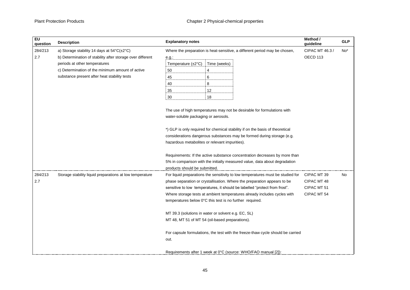| EU<br>question | <b>Description</b>                                         | <b>Explanatory notes</b>                                                                                                                                                                                                                                                                                                                                                          | Method /<br>guideline                                    | <b>GLP</b>      |
|----------------|------------------------------------------------------------|-----------------------------------------------------------------------------------------------------------------------------------------------------------------------------------------------------------------------------------------------------------------------------------------------------------------------------------------------------------------------------------|----------------------------------------------------------|-----------------|
| 284/213        | a) Storage stability 14 days at 54°C(±2°C)                 | Where the preparation is heat-sensitive, a different period may be chosen,                                                                                                                                                                                                                                                                                                        | CIPAC MT 46.3 /                                          | No <sup>*</sup> |
| 2.7            | b) Determination of stability after storage over different | $e.g.$ :                                                                                                                                                                                                                                                                                                                                                                          | OECD 113                                                 |                 |
|                | periods at other temperatures                              | Temperature (±2°C)<br>Time (weeks)                                                                                                                                                                                                                                                                                                                                                |                                                          |                 |
|                | c) Determination of the minimum amount of active           | 4<br>50                                                                                                                                                                                                                                                                                                                                                                           |                                                          |                 |
|                | substance present after heat stability tests               | 6<br>45                                                                                                                                                                                                                                                                                                                                                                           |                                                          |                 |
|                |                                                            | 40<br>8                                                                                                                                                                                                                                                                                                                                                                           |                                                          |                 |
|                |                                                            | 35<br>12                                                                                                                                                                                                                                                                                                                                                                          |                                                          |                 |
|                |                                                            | 18<br>30                                                                                                                                                                                                                                                                                                                                                                          |                                                          |                 |
|                |                                                            | The use of high temperatures may not be desirable for formulations with<br>water-soluble packaging or aerosols.<br>*) GLP is only required for chemical stability if on the basis of theoretical<br>considerations dangerous substances may be formed during storage (e.g.<br>hazardous metabolites or relevant impurities).                                                      |                                                          |                 |
|                |                                                            | Requirements: If the active substance concentration decreases by more than<br>5% in comparison with the initially measured value, data about degradation<br>products should be submitted.                                                                                                                                                                                         |                                                          |                 |
| 284/213<br>2.7 | Storage stability liquid preparations at low temperature   | For liquid preparations the sensitivity to low temperatures must be studied for<br>phase separation or crystallisation. Where the preparation appears to be<br>sensitive to low temperatures, it should be labelled "protect from frost".<br>Where storage tests at ambient temperatures already includes cycles with<br>temperatures below 0°C this test is no further required. | CIPAC MT 39<br>CIPAC MT 48<br>CIPAC MT 51<br>CIPAC MT 54 | No              |
|                |                                                            | MT 39.3 (solutions in water or solvent e.g. EC, SL)<br>MT 48, MT 51 of MT 54 (oil-based preparations).                                                                                                                                                                                                                                                                            |                                                          |                 |
|                |                                                            | For capsule formulations, the test with the freeze-thaw cycle should be carried<br>out.                                                                                                                                                                                                                                                                                           |                                                          |                 |
|                |                                                            | Requirements after 1 week at 0°C (source: WHO/FAO manual [2]):                                                                                                                                                                                                                                                                                                                    |                                                          |                 |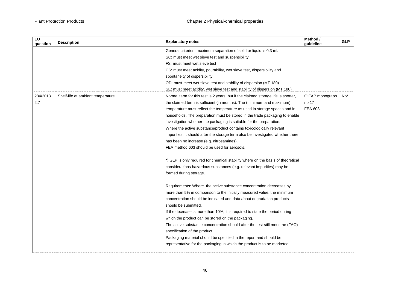,我们也不会有什么。""我们的人,我们也不会有什么?""我们的人,我们也不会有什么?""我们的人,我们也不会有什么?""我们的人,我们也不会有什么?""我们的人

| <b>Explanatory notes</b><br><b>Description</b>                                                                         | Method /<br>guideline | <b>GLP</b> |
|------------------------------------------------------------------------------------------------------------------------|-----------------------|------------|
| General criterion: maximum separation of solid or liquid is 0.3 ml.                                                    |                       |            |
| SC: must meet wet sieve test and suspensibility                                                                        |                       |            |
| FS: must meet wet sieve test                                                                                           |                       |            |
| CS: must meet acidity, pourability, wet sieve test, dispersibility and                                                 |                       |            |
| spontaneity of dispersibility                                                                                          |                       |            |
| OD: must meet wet sieve test and stability of dispersion (MT 180)                                                      |                       |            |
| SE: must meet acidity, wet sieve test and stability of dispersion (MT 180)                                             |                       |            |
| Shelf-life at ambient temperature<br>Normal term for this test is 2 years, but if the claimed storage life is shorter, | GIFAP monograph       | No*        |
| the claimed term is sufficient (in months). The (minimum and maximum)                                                  | no 17                 |            |
| temperature must reflect the temperature as used in storage spaces and in                                              | <b>FEA 603</b>        |            |
| households. The preparation must be stored in the trade packaging to enable                                            |                       |            |
| investigation whether the packaging is suitable for the preparation.                                                   |                       |            |
| Where the active substance/product contains toxicologically relevant                                                   |                       |            |
| impurities, it should after the storage term also be investigated whether there                                        |                       |            |
| has been no increase (e.g. nitrosamines).                                                                              |                       |            |
| FEA method 603 should be used for aerosols.                                                                            |                       |            |
| *) GLP is only required for chemical stability where on the basis of theoretical                                       |                       |            |
| considerations hazardous substances (e.g. relevant impurities) may be                                                  |                       |            |
| formed during storage.                                                                                                 |                       |            |
| Requirements: Where the active substance concentration decreases by                                                    |                       |            |
| more than 5% in comparison to the initially measured value, the minimum                                                |                       |            |
| concentration should be indicated and data about degradation products                                                  |                       |            |
| should be submitted.                                                                                                   |                       |            |
| If the decrease is more than 10%, it is required to state the period during                                            |                       |            |
| which the product can be stored on the packaging.                                                                      |                       |            |
| The active substance concentration should after the test still meet the (FAO)                                          |                       |            |
| specification of the product.                                                                                          |                       |            |
| Packaging material should be specified in the report and should be                                                     |                       |            |
| representative for the packaging in which the product is to be marketed.                                               |                       |            |
|                                                                                                                        |                       |            |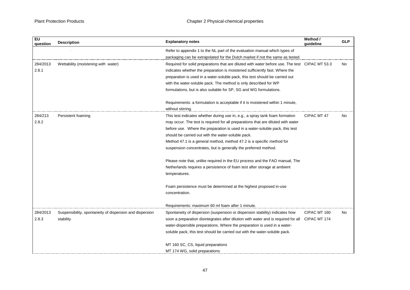| <b>EU</b><br>question | <b>Description</b>                                       | <b>Explanatory notes</b>                                                                           | Method /<br>quideline | <b>GLP</b> |
|-----------------------|----------------------------------------------------------|----------------------------------------------------------------------------------------------------|-----------------------|------------|
|                       |                                                          | Refer to appendix 1 to the NL part of the evaluation manual which types of                         |                       |            |
|                       |                                                          | packaging can be extrapolated for the Dutch market if not the same as tested.                      |                       |            |
| 284/2013              | Wettability (moistening with water)                      | Required for solid preparations that are diluted with water before use. The test CIPAC MT 53.3     |                       | No         |
| 2.8.1                 |                                                          | indicates whether the preparation is moistened sufficiently fast. Where the                        |                       |            |
|                       |                                                          | preparation is used in a water-soluble pack, this test should be carried out                       |                       |            |
|                       |                                                          | with the water-soluble pack. The method is only described for WP                                   |                       |            |
|                       |                                                          | formulations, but is also suitable for SP, SG and WG formulations.                                 |                       |            |
|                       |                                                          | Requirements: a formulation is acceptable if it is moistened within 1 minute,<br>without stirring. |                       |            |
| 284/213               | Persistent foaming                                       | This test indicates whether during use in, e.g., a spray tank foam formation                       | CIPAC MT 47           | No         |
| 2.8.2                 |                                                          | may occur. The test is required for all preparations that are diluted with water                   |                       |            |
|                       |                                                          | before use. Where the preparation is used in a water-soluble pack, this test                       |                       |            |
|                       |                                                          | should be carried out with the water-soluble pack.                                                 |                       |            |
|                       |                                                          | Method 47.1 is a general method, method 47.2 is a specific method for                              |                       |            |
|                       |                                                          | suspension concentrates, but is generally the preferred method.                                    |                       |            |
|                       |                                                          | Please note that, unlike required in the EU process and the FAO manual, The                        |                       |            |
|                       |                                                          | Netherlands requires a persistence of foam test after storage at ambient                           |                       |            |
|                       |                                                          | temperatures.                                                                                      |                       |            |
|                       |                                                          | Foam persistence must be determined at the highest proposed in-use                                 |                       |            |
|                       |                                                          | concentration.                                                                                     |                       |            |
|                       |                                                          | Requirements: maximum 60 ml foam after 1 minute.                                                   |                       |            |
| 284/2013              | Suspensibility, spontaneity of dispersion and dispersion | Spontaneity of dispersion (suspension or dispersion stability) indicates how                       | CIPAC MT 160          | No         |
| 2.8.3                 | stability                                                | soon a preparation disintegrates after dilution with water and is required for all CIPAC MT 174    |                       |            |
|                       |                                                          | water-dispersible preparations. Where the preparation is used in a water-                          |                       |            |
|                       |                                                          | soluble pack, this test should be carried out with the water-soluble pack.                         |                       |            |
|                       |                                                          | MT 160 SC, CS, liquid preparations                                                                 |                       |            |
|                       |                                                          | MT 174 WG, solid preparations                                                                      |                       |            |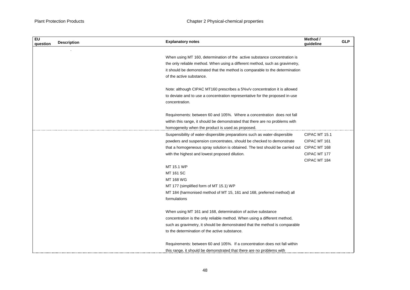| <b>EU</b><br>question | <b>Description</b> | <b>Explanatory notes</b>                                                                   | Method /<br>quideline | <b>GLP</b> |
|-----------------------|--------------------|--------------------------------------------------------------------------------------------|-----------------------|------------|
|                       |                    |                                                                                            |                       |            |
|                       |                    | When using MT 160, determination of the active substance concentration is                  |                       |            |
|                       |                    | the only reliable method. When using a different method, such as gravimetry,               |                       |            |
|                       |                    | it should be demonstrated that the method is comparable to the determination               |                       |            |
|                       |                    | of the active substance.                                                                   |                       |            |
|                       |                    | Note: although CIPAC MT160 prescribes a 5%v/v concentration it is allowed                  |                       |            |
|                       |                    | to deviate and to use a concentration representative for the proposed in-use               |                       |            |
|                       |                    | concentration.                                                                             |                       |            |
|                       |                    | Requirements: between 60 and 105%. Where a concentration does not fall                     |                       |            |
|                       |                    | within this range, it should be demonstrated that there are no problems with               |                       |            |
|                       |                    | homogeneity when the product is used as proposed.                                          |                       |            |
|                       |                    | Suspensibility of water-dispersible preparations such as water-dispersible                 | CIPAC MT 15.1         |            |
|                       |                    | powders and suspension concentrates, should be checked to demonstrate                      | CIPAC MT 161          |            |
|                       |                    | that a homogeneous spray solution is obtained. The test should be carried out CIPAC MT 168 |                       |            |
|                       |                    | with the highest and lowest proposed dilution.                                             | CIPAC MT 177          |            |
|                       |                    |                                                                                            | CIPAC MT 184          |            |
|                       |                    | MT 15.1 WP                                                                                 |                       |            |
|                       |                    | MT 161 SC                                                                                  |                       |            |
|                       |                    | MT 168 WG                                                                                  |                       |            |
|                       |                    | MT 177 (simplified form of MT 15.1) WP                                                     |                       |            |
|                       |                    | MT 184 (harmonised method of MT 15, 161 and 168, preferred method) all                     |                       |            |
|                       |                    | formulations                                                                               |                       |            |
|                       |                    | When using MT 161 and 168, determination of active substance                               |                       |            |
|                       |                    | concentration is the only reliable method. When using a different method,                  |                       |            |
|                       |                    | such as gravimetry, it should be demonstrated that the method is comparable                |                       |            |
|                       |                    | to the determination of the active substance.                                              |                       |            |
|                       |                    | Requirements: between 60 and 105%. If a concentration does not fall within                 |                       |            |
|                       |                    | this range, it should be demonstrated that there are no problems with                      |                       |            |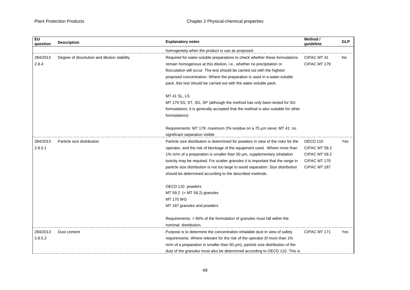| <b>EU</b><br>question | <b>Description</b>                           | <b>Explanatory notes</b>                                                              | Method /<br>quideline | <b>GLP</b> |
|-----------------------|----------------------------------------------|---------------------------------------------------------------------------------------|-----------------------|------------|
|                       |                                              | homogeneity when the product is use as proposed.                                      |                       |            |
| 284/2013              | Degree of dissolution and dilution stability | Required for water-soluble preparations to check whether these formulations           | CIPAC MT 41           | <b>No</b>  |
| 2.8.4                 |                                              | remain homogenous at this dilution, i.e., whether no precipitation or                 | CIPAC MT 179          |            |
|                       |                                              | flocculation will occur. The test should be carried out with the highest              |                       |            |
|                       |                                              | proposed concentration. Where the preparation is used in a water-soluble              |                       |            |
|                       |                                              | pack, this test should be carried out with the water-soluble pack.                    |                       |            |
|                       |                                              | <b>MT 41 SL, LS</b>                                                                   |                       |            |
|                       |                                              | MT 179 SS, ST, SG, SP (although the method has only been tested for SG                |                       |            |
|                       |                                              | formulations, it is generally accepted that the method is also suitable for other     |                       |            |
|                       |                                              | formulations)                                                                         |                       |            |
|                       |                                              | Requirements: MT 179: maximum 2% residue on a 75 µm sieve; MT 41: no                  |                       |            |
|                       |                                              | significant separation visible                                                        |                       |            |
| 284/2013              | Particle size distribution                   | Particle size distribution is determined for powders in view of the risks for the     | OECD 110              | Yes        |
| 2.8.5.1               |                                              | operator, and the risk of blockage of the equipment used. Where more than             | CIPAC MT 58.2         |            |
|                       |                                              | 1% m/m of a preparation is smaller than 50 um, supplementary inhalation               | CIPAC MT 59.2         |            |
|                       |                                              | toxicity may be required. For scatter granules it is important that the range in      | CIPAC MT 170          |            |
|                       |                                              | particle size distribution is not too large to avoid separation. Size distribution    | CIPAC MT 187          |            |
|                       |                                              | should be determined according to the described methods.                              |                       |            |
|                       |                                              | OECD 110 powders                                                                      |                       |            |
|                       |                                              | MT 59.2 $(= MT 58.2)$ granules                                                        |                       |            |
|                       |                                              | <b>MT 170 WG</b>                                                                      |                       |            |
|                       |                                              | MT 187 granules and powders                                                           |                       |            |
|                       |                                              | Requirements: > 85% of the formulation of granules must fall within the               |                       |            |
|                       |                                              | nominal distribution.                                                                 |                       |            |
| 284/2013              | Dust content                                 | Purpose is to determine the concentration inhalable dust in view of safety            | CIPAC MT 171          | Yes        |
| 2.8.5.2               |                                              | requirements. Where relevant for the risk of the operator (if more than 1%            |                       |            |
|                       |                                              | $m/m$ of a preparation is smaller than 50 $\mu$ m), particle size distribution of the |                       |            |
|                       |                                              | dust of the granules must also be determined according to OECD 110. This is           |                       |            |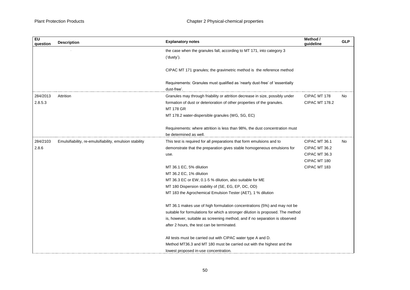| EU<br>question | <b>Description</b>                                      | <b>Explanatory notes</b>                                                                   | Method /<br>quideline | <b>GLP</b> |
|----------------|---------------------------------------------------------|--------------------------------------------------------------------------------------------|-----------------------|------------|
|                |                                                         | the case when the granules fall, according to MT 171, into category 3                      |                       |            |
|                |                                                         | ('dusty').                                                                                 |                       |            |
|                |                                                         | CIPAC MT 171 granules; the gravimetric method is the reference method                      |                       |            |
|                |                                                         | Requirements: Granules must qualified as 'nearly dust-free' of 'essentially<br>dust-free'. |                       |            |
| 284/2013       | Attrition                                               | Granules may through friability or attrition decrease in size, possibly under              | CIPAC MT 178          | No         |
| 2.8.5.3        |                                                         | formation of dust or deterioration of other properties of the granules.                    | <b>CIPAC MT 178.2</b> |            |
|                |                                                         | <b>MT 178 GR</b>                                                                           |                       |            |
|                |                                                         | MT 178.2 water-dispersible granules (WG, SG, EC)                                           |                       |            |
|                |                                                         | Requirements: where attrition is less than 98%, the dust concentration must                |                       |            |
|                |                                                         | be determined as well.                                                                     |                       |            |
| 284/2103       | Emulsifiability, re-emulsifiability, emulsion stability | This test is required for all preparations that form emulsions and to                      | CIPAC MT 36.1         | No         |
| 2.8.6          |                                                         | demonstrate that the preparation gives stable homogeneous emulsions for                    | CIPAC MT 36.2         |            |
|                |                                                         | use.                                                                                       | CIPAC MT 36.3         |            |
|                |                                                         |                                                                                            | CIPAC MT 180          |            |
|                |                                                         | MT 36.1 EC, 5% dilution                                                                    | CIPAC MT 183          |            |
|                |                                                         | MT 36.2 EC, 1% dilution                                                                    |                       |            |
|                |                                                         | MT 36.3 EC or EW, 0.1-5 % dilution, also suitable for ME                                   |                       |            |
|                |                                                         | MT 180 Dispersion stability of (SE, EG, EP, DC, OD)                                        |                       |            |
|                |                                                         | MT 183 the Agrochemical Emulsion Tester (AET), 1 % dilution                                |                       |            |
|                |                                                         | MT 36.1 makes use of high formulation concentrations (5%) and may not be                   |                       |            |
|                |                                                         | suitable for formulations for which a stronger dilution is proposed. The method            |                       |            |
|                |                                                         | is, however, suitable as screening method, and if no separation is observed                |                       |            |
|                |                                                         | after 2 hours, the test can be terminated.                                                 |                       |            |
|                |                                                         | All tests must be carried out with CIPAC water type A and D.                               |                       |            |
|                |                                                         | Method MT36.3 and MT 180 must be carried out with the highest and the                      |                       |            |
|                |                                                         | lowest proposed in-use concentration.                                                      |                       |            |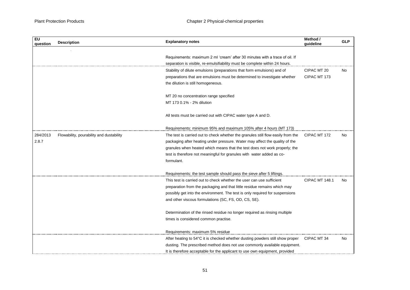| <b>EU</b><br>question | <b>Description</b>                       | <b>Explanatory notes</b>                                                         | Method /<br>quideline | <b>GLP</b> |
|-----------------------|------------------------------------------|----------------------------------------------------------------------------------|-----------------------|------------|
|                       |                                          |                                                                                  |                       |            |
|                       |                                          | Requirements: maximum 2 ml 'cream' after 30 minutes with a trace of oil. If      |                       |            |
|                       |                                          | separation is visible, re-emulsifiability must be complete within 24 hours.      |                       |            |
|                       |                                          | Stability of dilute emulsions (preparations that form emulsions) and of          | CIPAC MT 20           | No         |
|                       |                                          | preparations that are emulsions must be determined to investigate whether        | CIPAC MT 173          |            |
|                       |                                          | the dilution is still homogeneous.                                               |                       |            |
|                       |                                          | MT 20 no concentration range specified                                           |                       |            |
|                       |                                          | MT 173 0.1% - 2% dilution                                                        |                       |            |
|                       |                                          | All tests must be carried out with CIPAC water type A and D.                     |                       |            |
|                       |                                          | Requirements: minimum 95% and maximum 105% after 4 hours (MT 173)                |                       |            |
| 284/2013              | Flowability, pourability and dustability | The test is carried out to check whether the granules still flow easily from the | CIPAC MT 172          | No         |
| 2.8.7                 |                                          | packaging after heating under pressure. Water may affect the quality of the      |                       |            |
|                       |                                          | granules when heated which means that the test does not work properly; the       |                       |            |
|                       |                                          | test is therefore not meaningful for granules with water added as co-            |                       |            |
|                       |                                          | formulant.                                                                       |                       |            |
|                       |                                          | Requirements: the test sample should pass the sieve after 5 liftings.            |                       |            |
|                       |                                          | This test is carried out to check whether the user can use sufficient            | <b>CIPAC MT 148.1</b> | No         |
|                       |                                          | preparation from the packaging and that little residue remains which may         |                       |            |
|                       |                                          | possibly get into the environment. The test is only required for suspensions     |                       |            |
|                       |                                          | and other viscous formulations (SC, FS, OD, CS, SE).                             |                       |            |
|                       |                                          | Determination of the rinsed residue no longer required as rinsing multiple       |                       |            |
|                       |                                          | times is considered common practise.                                             |                       |            |
|                       |                                          | Requirements: maximum 5% residue                                                 |                       |            |
|                       |                                          | After heating to 54°C it is checked whether dusting powders still show proper    | CIPAC MT 34           | No         |
|                       |                                          | dusting. The prescribed method does not use commonly available equipment.        |                       |            |
|                       |                                          | It is therefore acceptable for the applicant to use own equipment, provided      |                       |            |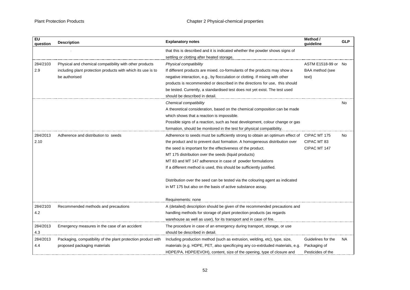| <b>EU</b><br>question | <b>Description</b>                                            | <b>Explanatory notes</b>                                                                   | Method /<br>quideline | <b>GLP</b> |
|-----------------------|---------------------------------------------------------------|--------------------------------------------------------------------------------------------|-----------------------|------------|
|                       |                                                               | that this is described and it is indicated whether the powder shows signs of               |                       |            |
|                       |                                                               | settling or clotting after heated storage.                                                 |                       |            |
| 284/2103              | Physical and chemical compatibility with other products       | Physical compatibility                                                                     | ASTM E1518-99 or No   |            |
| 2.9                   | including plant protection products with which its use is to  | If different products are mixed. co-formulants of the products may show a                  | BAA method (see       |            |
|                       | be authorised                                                 | negative interaction, e.g., by flocculation or clotting. If mixing with other              | text)                 |            |
|                       |                                                               | products is recommended or described in the directions for use, this should                |                       |            |
|                       |                                                               | be tested. Currently, a standardised test does not yet exist. The test used                |                       |            |
|                       |                                                               | should be described in detail.                                                             |                       |            |
|                       |                                                               | Chemical compatibility                                                                     |                       | No.        |
|                       |                                                               | A theoretical consideration, based on the chemical composition can be made                 |                       |            |
|                       |                                                               | which shows that a reaction is impossible.                                                 |                       |            |
|                       |                                                               | Possible signs of a reaction, such as heat development, colour change or gas               |                       |            |
|                       |                                                               | formation, should be monitored in the test for physical compatibility.                     |                       |            |
| 284/2013              | Adherence and distribution to seeds                           | Adherence to seeds must be sufficiently strong to obtain an optimum effect of CIPAC MT 175 |                       | No         |
| 2.10                  |                                                               | the product and to prevent dust formation. A homogeneous distribution over                 | CIPAC MT 83           |            |
|                       |                                                               | the seed is important for the effectiveness of the product.                                | CIPAC MT 147          |            |
|                       |                                                               | MT 175 distribution over the seeds (liquid products)                                       |                       |            |
|                       |                                                               | MT 83 and MT 147 adherence in case of powder formulations                                  |                       |            |
|                       |                                                               | If a different method is used, this should be sufficiently justified.                      |                       |            |
|                       |                                                               | Distribution over the seed can be tested via the colouring agent as indicated              |                       |            |
|                       |                                                               | in MT 175 but also on the basis of active substance assay.                                 |                       |            |
|                       |                                                               | Requirements: none                                                                         |                       |            |
| 284/2103              | Recommended methods and precautions                           | A (detailed) description should be given of the recommended precautions and                |                       |            |
| 4.2                   |                                                               | handling methods for storage of plant protection products (as regards                      |                       |            |
|                       |                                                               | warehouse as well as user), for its transport and in case of fire.                         |                       |            |
| 284/2013              | Emergency measures in the case of an accident                 | The procedure in case of an emergency during transport, storage, or use                    |                       |            |
| 4.3                   |                                                               | should be described in detail.                                                             |                       |            |
| 284/2013              | Packaging, compatibility of the plant protection product with | Including production method (such as extrusion, welding, etc), type, size,                 | Guidelines for the    | NA.        |
| 4.4                   | proposed packaging materials                                  | materials (e.g. HDPE, PET, also specificying any co-extrduded materials, e.g.              | Packaging of          |            |
|                       |                                                               | HDPE/PA, HDPE/EVOH), content, size of the opening, type of closure and                     | Pesticides of the     |            |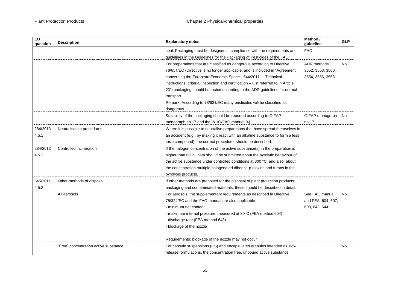| <b>EU</b><br>question | <b>Explanatory notes</b><br><b>Description</b> |                                                                                                                                                | Method /<br>guideline | <b>GLP</b> |
|-----------------------|------------------------------------------------|------------------------------------------------------------------------------------------------------------------------------------------------|-----------------------|------------|
|                       |                                                | seal. Packaging must be designed in compliance with the requirements and                                                                       | <b>FAO</b>            |            |
|                       |                                                | guidelines in the Guidelines for the Packaging of Pesticides of the FAO                                                                        |                       |            |
|                       |                                                | For preparations that are classified as dangerous according to Directive                                                                       | ADR methods           | <b>No</b>  |
|                       |                                                | 78/631/EC (Directive is no longer applicable, and is included in "Agreement                                                                    | 3552, 3553, 3560,     |            |
|                       |                                                | concerning the European Economic Space - 544/2011 - Technical                                                                                  | 3554, 3556, 3558      |            |
|                       |                                                | instructions, criteria, inspection and certification - List referred to in Article                                                             |                       |            |
|                       |                                                | 23") packaging should be tested according to the ADR guidelines for normal                                                                     |                       |            |
|                       |                                                | transport.                                                                                                                                     |                       |            |
|                       |                                                | Remark: According to 78/631/EC many pesticides will be classified as                                                                           |                       |            |
|                       |                                                | dangerous                                                                                                                                      |                       |            |
|                       |                                                | Suitability of the packaging should be reported according to GIFAP                                                                             | GIFAP monograph No    |            |
|                       |                                                | monograph no 17 and the WHO/FAO manual [4]                                                                                                     | no 17                 |            |
| 284/2013              | Neutralisation procedures                      | Where it is possible to neutralise preparations that have spread themselves in                                                                 |                       |            |
| 4.5.1                 |                                                | an accident (e.g., by making it react with an alkaline substance to form a less<br>toxic compound), the correct procedure should be described. |                       |            |
|                       |                                                |                                                                                                                                                |                       |            |
| 284/2013              | Controlled incineration                        | If the halogen concentration of the active substance(s) in the preparation is                                                                  |                       |            |
| 4.5.2                 |                                                | higher than 60 %, data should be submitted about the pyrolytic behaviour of                                                                    |                       |            |
|                       |                                                | the active substance under controlled conditions at 800 °C, and also about                                                                     |                       |            |
|                       |                                                | the concentration multiple halogenated dibenzo-p-dioxins and furans in the                                                                     |                       |            |
|                       |                                                | pyrolysis products.                                                                                                                            |                       |            |
| 545/2011              | Other methods of disposal                      | If other methods are proposed for the disposal of plant protection products,                                                                   |                       |            |
| 4.5.2                 |                                                | packaging and contaminated materials, these should be described in detail.                                                                     |                       |            |
|                       | All aerosols                                   | For aerosols, the supplementary requirements as described in Directive                                                                         | See FAO manual        | No.        |
|                       |                                                | 75/324/EC and the FAO manual are also applicable:                                                                                              | and FEA 604, 607,     |            |
|                       |                                                | - minimum net content                                                                                                                          | 608, 643, 644         |            |
|                       |                                                | - maximum internal pressure, measured at 30°C (FEA method 604)                                                                                 |                       |            |
|                       |                                                | - discharge rate (FEA method 643)                                                                                                              |                       |            |
|                       |                                                | - blockage of the nozzle                                                                                                                       |                       |            |
|                       |                                                | Requirements: blockage of the nozzle may not occur                                                                                             |                       |            |
|                       | "Free" concentration active substance          | For capsule suspensions (CS) and encapsulated granules intended as slow                                                                        |                       | <b>No</b>  |
|                       |                                                | release formulations, the concentration free, unbound active substance                                                                         |                       |            |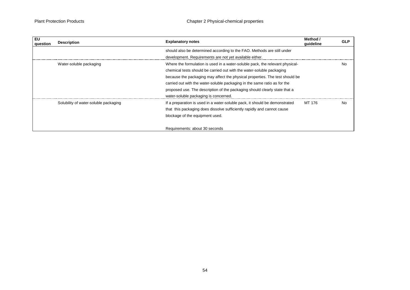| EU<br>question | <b>Description</b>                    | <b>Explanatory notes</b>                                                      | Method /<br>quideline | <b>GLP</b> |
|----------------|---------------------------------------|-------------------------------------------------------------------------------|-----------------------|------------|
|                |                                       | should also be determined according to the FAO. Methods are still under       |                       |            |
|                |                                       | development. Requirements are not yet available either.                       |                       |            |
|                | Water-soluble packaging               | Where the formulation is used in a water-soluble pack, the relevant physical- |                       | <b>No</b>  |
|                |                                       | chemical tests should be carried out with the water-soluble packaging         |                       |            |
|                |                                       | because the packaging may affect the physical properties. The test should be  |                       |            |
|                |                                       | carried out with the water-soluble packaging in the same ratio as for the     |                       |            |
|                |                                       | proposed use. The description of the packaging should clearly state that a    |                       |            |
|                |                                       | water-soluble packaging is concerned.                                         |                       |            |
|                | Solubility of water-soluble packaging | If a preparation is used in a water-soluble pack, it should be demonstrated   | MT 176                | <b>No</b>  |
|                |                                       | that this packaging does dissolve sufficiently rapidly and cannot cause       |                       |            |
|                |                                       | blockage of the equipment used.                                               |                       |            |
|                |                                       | Requirements: about 30 seconds                                                |                       |            |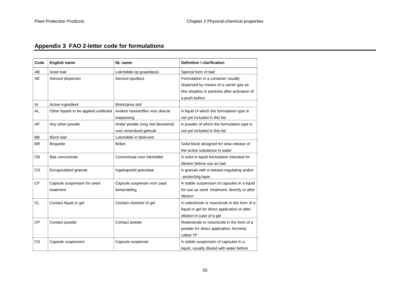# **Appendix 3 FAO 2-letter code for formulations**

<span id="page-54-0"></span>

| Code      | <b>English name</b>                      | <b>NL</b> name                                            | Definition / clarification                                                                                                                      |
|-----------|------------------------------------------|-----------------------------------------------------------|-------------------------------------------------------------------------------------------------------------------------------------------------|
| AB        | Grain bait                               | Lokmiddel op graanbasis                                   | Special form of bait                                                                                                                            |
| AE        | Aerosol dispenser                        | Aerosol spuitbus                                          | Formulation in a container usually<br>dispersed by means of a carrier gas as<br>fine droplets or particles after activation of<br>a push button |
| AI        | Active ingredient                        | Werkzame stof                                             |                                                                                                                                                 |
| <b>AL</b> | Other liquids to be applied undiluted    | Andere vloeistoffen voor directe<br>toepassing            | A liquid of which the formulation type is<br>not yet included in this list                                                                      |
| AP        | Any other powder                         | Ander poeder (nog niet benoemd)<br>voor onverdund gebruik | A powder of which the formulation type is<br>not yet included in this list                                                                      |
| BB        | <b>Block bait</b>                        | Lokmiddel in blokvorm                                     |                                                                                                                                                 |
| <b>BR</b> | <b>Briquette</b>                         | <b>Briket</b>                                             | Solid block designed for slow release of<br>the active substance in water                                                                       |
| CB        | Bait concentrate                         | Concentraat voor lokmiddel                                | A solid or liquid formulation intended for<br>dilution before use as bait                                                                       |
| <b>CG</b> | Encapsulated granule                     | Ingekapseld granulaat                                     | A granule with a release-regulating and/or<br>-protecting layer                                                                                 |
| <b>CF</b> | Capsule suspension for seed<br>treatment | Capsule suspensie voor zaad<br>behandeling                | A stable suspension of capsules in a liquid<br>for use as seed treatment, directly or after<br>dilution                                         |
| <b>CL</b> | Contact liquid or gel                    | Contact vloeistof of gel                                  | A rodenticide or insecticide in the form of a<br>liquid or gel for direct application or after<br>dilution in case of a gel                     |
| <b>CP</b> | Contact powder                           | Contact poeder                                            | Rodenticide or insecticide in the form of a<br>powder for direct application; formerly<br>called TP                                             |
| <b>CS</b> | Capsule suspension                       | Capsule suspensie                                         | A stable suspension of capsules in a<br>liquid, usually diluted with water before                                                               |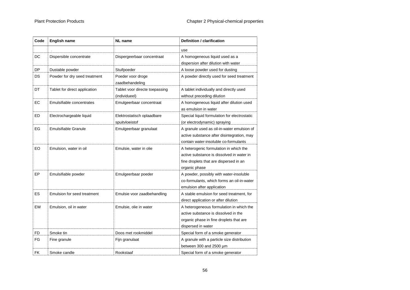| Code      | <b>English name</b>           | <b>NL</b> name                                  | Definition / clarification                                                                                                                        |
|-----------|-------------------------------|-------------------------------------------------|---------------------------------------------------------------------------------------------------------------------------------------------------|
|           |                               |                                                 | use                                                                                                                                               |
| DC        | Dispersible concentrate       | Dispergeerbaar concentraat                      | A homogeneous liquid used as a<br>dispersion after dilution with water                                                                            |
| DP        | Dustable powder               | Stuifpoeder                                     | A loose powder used for dusting                                                                                                                   |
| DS        | Powder for dry seed treatment | Poeder voor droge<br>zaadbehandeling            | A powder directly used for seed treatment                                                                                                         |
| DT        | Tablet for direct application | Tablet voor directe toepassing<br>(individueel) | A tablet individually and directly used<br>without preceding dilution                                                                             |
| EC        | Emulsifiable concentrates     | Emulgeerbaar concentraat                        | A homogeneous liquid after dilution used<br>as emulsion in water                                                                                  |
| ED        | Electrochargeable liquid      | Elektrostatisch oplaadbare<br>spuitvloeistof    | Special liquid formulation for electrostatic<br>(or electrodynamic) spraying                                                                      |
| EG        | <b>Emulsifiable Granule</b>   | Emulgeerbaar granulaat                          | A granule used as oil-in-water emulsion of<br>active substance after disintegration, may<br>contain water-insoluble co-formulants                 |
| EO        | Emulsion, water in oil        | Emulsie, water in olie                          | A heterogenic formulation in which the<br>active substance is dissolved in water in<br>fine droplets that are dispersed in an<br>organic phase    |
| EP        | Emulsifiable powder           | Emulgeerbaar poeder                             | A powder, possibly with water-insoluble<br>co-formulants, which forms an oil-in-water<br>emulsion after application                               |
| ES.       | Emulsion for seed treatment   | Emulsie voor zaadbehandling                     | A stable emulsion for seed treatment, for<br>direct application or after dilution                                                                 |
| EW        | Emulsion, oil in water        | Emulsie, olie in water                          | A heterogeneous formulation in which the<br>active substance is dissolved in the<br>organic phase in fine droplets that are<br>dispersed in water |
| <b>FD</b> | Smoke tin                     | Doos met rookmiddel                             | Special form of a smoke generator                                                                                                                 |
| FG        | Fine granule                  | Fijn granulaat                                  | A granule with a particle size distribution<br>between 300 and 2500 µm                                                                            |
| <b>FK</b> | Smoke candle                  | Rookstaaf                                       | Special form of a smoke generator                                                                                                                 |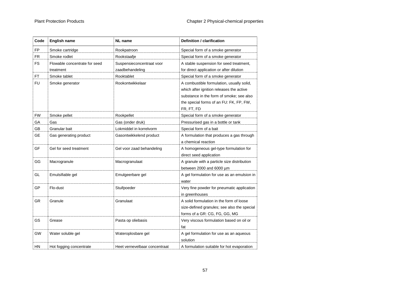| Code      | <b>English name</b>                        | <b>NL</b> name                               | Definition / clarification                                                                                                                                                                 |
|-----------|--------------------------------------------|----------------------------------------------|--------------------------------------------------------------------------------------------------------------------------------------------------------------------------------------------|
| FP        | Smoke cartridge                            | Rookpatroon                                  | Special form of a smoke generator                                                                                                                                                          |
| <b>FR</b> | Smoke rodlet                               | Rookstaafje                                  | Special form of a smoke generator                                                                                                                                                          |
| <b>FS</b> | Flowable concentrate for seed<br>treatment | Suspensieconcentraat voor<br>zaadbehandeling | A stable suspension for seed treatment,<br>for direct application or after dilution                                                                                                        |
| <b>FT</b> | Smoke tablet                               | Rooktablet                                   | Special form of a smoke generator                                                                                                                                                          |
| <b>FU</b> | Smoke generator                            | Rookontwikkelaar                             | A combustible formulation, usually solid,<br>which after ignition releases the active<br>substance in the form of smoke; see also<br>the special forms of an FU: FK, FP, FW,<br>FR, FT, FD |
| <b>FW</b> | Smoke pellet                               | Rookpellet                                   | Special form of a smoke generator                                                                                                                                                          |
| GA        | Gas                                        | Gas (onder druk)                             | Pressurised gas in a bottle or tank                                                                                                                                                        |
| GB        | Granular bait                              | Lokmiddel in korrelvorm                      | Special form of a bait                                                                                                                                                                     |
| <b>GE</b> | Gas generating product                     | Gasontwikkelend product                      | A formulation that produces a gas through<br>a chemical reaction                                                                                                                           |
| GF        | Gel for seed treatment                     | Gel voor zaad behandeling                    | A homogeneous gel-type formulation for<br>direct seed application                                                                                                                          |
| GG        | Macrogranule                               | Macrogranulaat                               | A granule with a particle size distribution<br>between 2000 and 6000 µm                                                                                                                    |
| GL        | Emulsifiable gel                           | Emulgeerbare gel                             | A gel formulation for use as an emulsion in<br>water                                                                                                                                       |
| GP        | Flo-dust                                   | Stuifpoeder                                  | Very fine powder for pneumatic application<br>in greenhouses                                                                                                                               |
| <b>GR</b> | Granule                                    | Granulaat                                    | A solid formulation in the form of loose<br>size-defined granules; see also the special<br>forms of a GR: CG, FG, GG, MG                                                                   |
| <b>GS</b> | Grease                                     | Pasta op oliebasis                           | Very viscous formulation based on oil or<br>fat                                                                                                                                            |
| GW        | Water soluble gel                          | Wateroplosbare gel                           | A gel formulation for use as an aqueous<br>solution                                                                                                                                        |
| HN        | Hot fogging concentrate                    | Heet vernevelbaar concentraat                | A formulation suitable for hot evaporation                                                                                                                                                 |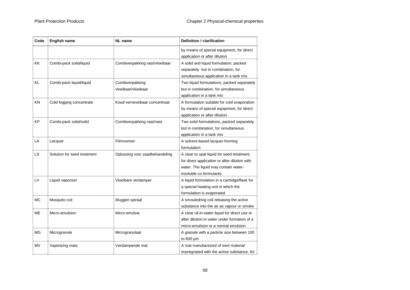| Code      | <b>English name</b>         | <b>NL</b> name                         | Definition / clarification                                                                                                                                     |
|-----------|-----------------------------|----------------------------------------|----------------------------------------------------------------------------------------------------------------------------------------------------------------|
|           |                             |                                        | by means of special equipment, for direct<br>application or after dilution                                                                                     |
| KK        | Combi-pack solid/liquid     | Combiverpakking vast/vloeibaar         | A solid and liquid formulation, packed<br>separately but in combination, for<br>simultaneous application in a tank mix                                         |
| KL        | Combi-pack liquid/liquid    | Combiverpakking<br>vloeibaar/vloeibaar | Two liquid formulations, packed separately<br>but in combination, for simultaneous<br>application in a tank mix                                                |
| ΚN        | Cold fogging concentrate    | Koud vernevelbaar concentraat          | A formulation suitable for cold evaporation<br>by means of special equipment, for direct<br>application or after dilution                                      |
| <b>KP</b> | Combi-pack solid/solid      | Combiverpakking vast/vast              | Two solid formulations, packed separately<br>but in combination, for simultaneous<br>application in a tank mix                                                 |
| LA        | Lacquer                     | Filmvormer                             | A solvent-based lacquer-forming<br>formulation                                                                                                                 |
| LS.       | Solution for seed treatment | Oplossing voor zaadbehandeling         | A clear to opal liquid for seed treatment,<br>for direct application or after dilution with<br>water. The liquid may contain water-<br>insoluble co-formulants |
| LV        | Liquid vaporizer            | Vloeibare verdamper                    | A liquid formulation in a cartridge/flask for<br>a special heating unit in which the<br>formulation is evaporated                                              |
| <b>MC</b> | Mosquito coil               | Muggen spiraal                         | A smouledring coil releasing the active<br>substance into the air as vapour or smoke                                                                           |
| ME        | Micro-emulsion              | Micro-emulsie                          | A clear oil-in-water liquid for direct use or<br>after dilution in water under formation of a<br>micro-emulsion or a normal emulsion                           |
| MG        | Microgranule                | Microgranulaat                         | A granule with a particle size between 100<br>to 600 µm                                                                                                        |
| <b>MV</b> | Vaporizing mats             | Verdampende mat                        | A mat manufactured of inert material<br>impregnated with the active substance, for                                                                             |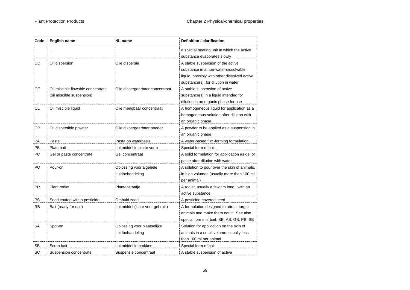| Code | <b>English name</b>                                            | <b>NL</b> name                                 | Definition / clarification                                                                                                                                       |
|------|----------------------------------------------------------------|------------------------------------------------|------------------------------------------------------------------------------------------------------------------------------------------------------------------|
|      |                                                                |                                                | a special heating unit in which the active<br>substance evaporates slowly                                                                                        |
| OD   | Oil dispersion                                                 | Olie dispersie                                 | A stable suspension of the active<br>substance in a non-water-dissolvable<br>liquid, possibly with other dissolved active<br>substance(s), for dilution in water |
| OF   | Oil miscible flowable concentrate<br>(oil miscible suspension) | Olie dispergeerbaar concentraat                | A stable suspension of active<br>substance(s) in a liquid intended for<br>dilution in an organic phase for use                                                   |
| OL   | Oil miscible liquid                                            | Olie mengbaar concentraat                      | A homogeneous liquid for application as a<br>homogeneous solution after dilution with<br>an organic phase                                                        |
| OP   | Oil dispersible powder                                         | Olie dispergeerbaar poeder                     | A powder to be applied as a suspension in<br>an organic phase                                                                                                    |
| PA   | Paste                                                          | Pasta op waterbasis                            | A water-based film-forming formulation                                                                                                                           |
| PB   | Plate bait                                                     | Lokmiddel in platte vorm                       | Special form of bait                                                                                                                                             |
| РC   | Gel or paste concentrate                                       | Gel concentraat                                | A solid formulation for application as gel or<br>paste after dilution with water                                                                                 |
| PO   | Pour-on                                                        | Oplossing voor algehele<br>huidbehandeling     | A solution to pour over the skin of animals,<br>in high volumes (usually more than 100 ml<br>per animal)                                                         |
| PR.  | Plant rodlet                                                   | Plantenstaafje                                 | A rodlet, usually a few cm long, with an<br>active substance                                                                                                     |
| PS   | Seed coated with a pesticide                                   | Omhuld zaad                                    | A pesticide-covered seed                                                                                                                                         |
| RB   | Bait (ready for use)                                           | Lokmiddel (klaar voor gebruik)                 | A formulation designed to attract target<br>animals and make them eat it. See also<br>special forms of bait: BB, AB, GB, PB, SB                                  |
| SА   | Spot-on                                                        | Oplossing voor plaatselijke<br>huidbehandeling | Solution for application on the skin of<br>animals in a small volume, usually less<br>than 100 ml per animal                                                     |
| SB   | Scrap bait                                                     | Lokmiddel in brokken                           | Special form of bait                                                                                                                                             |
| SC   | Suspension concentrate                                         | Suspensie concentraat                          | A stable suspension of active                                                                                                                                    |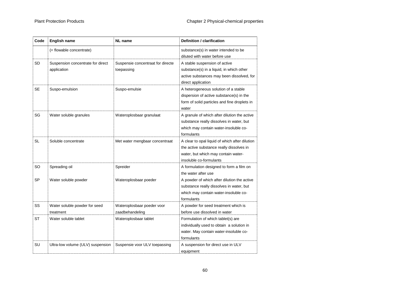| Code      | <b>English name</b>                              | <b>NL</b> name                                  | Definition / clarification                                                                                                                                   |
|-----------|--------------------------------------------------|-------------------------------------------------|--------------------------------------------------------------------------------------------------------------------------------------------------------------|
|           | (= flowable concentrate)                         |                                                 | substance(s) in water intended to be<br>diluted with water before use                                                                                        |
| SD        | Suspension concentrate for direct<br>application | Suspensie concentraat for directe<br>toepassing | A stable suspension of active<br>substance(s) in a liquid, in which other<br>active substances may been dissolved, for<br>direct application                 |
| <b>SE</b> | Suspo-emulsion                                   | Suspo-emulsie                                   | A heterogeneous solution of a stable<br>dispersion of active substance(s) in the<br>form of solid particles and fine droplets in<br>water                    |
| SG        | Water soluble granules                           | Wateroplosbaar granulaat                        | A granule of which after dilution the active<br>substance really dissolves in water, but<br>which may contain water-insoluble co-<br>formulants              |
| SL        | Soluble concentrate                              | Met water mengbaar concentraat                  | A clear to opal liquid of which after dilution<br>the active substance really dissolves in<br>water, but which may contain water-<br>insoluble co-formulants |
| SO.       | Spreading oil                                    | Spreider                                        | A formulation designed to form a film on<br>the water after use                                                                                              |
| <b>SP</b> | Water soluble powder                             | Wateroplosbaar poeder                           | A powder of which after dilution the active<br>substance really dissolves in water, but<br>which may contain water-insoluble co-<br>formulants               |
| SS        | Water soluble powder for seed<br>treatment       | Wateroplosbaar poeder voor<br>zaadbehandeling   | A powder for seed treatment which is<br>before use dissolved in water                                                                                        |
| ST        | Water soluble tablet                             | Wateroplosbaar tablet                           | Formulation of which tablet(s) are<br>individually used to obtain a solution in<br>water. May contain water-insoluble co-<br>formulants                      |
| SU        | Ultra-low volume (ULV) suspension                | Suspensie voor ULV toepassing                   | A suspension for direct use in ULV<br>equipment                                                                                                              |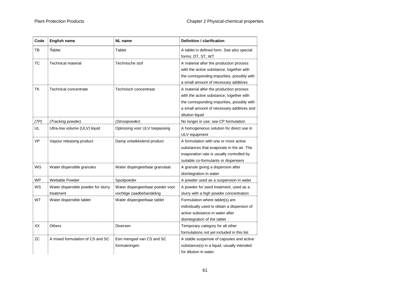| Code      | <b>English name</b>                              | <b>NL</b> name                                               | Definition / clarification                                                                                                                                                                         |
|-----------|--------------------------------------------------|--------------------------------------------------------------|----------------------------------------------------------------------------------------------------------------------------------------------------------------------------------------------------|
| TB        | Tablet                                           | Tablet                                                       | A tablet in defined form. See also special<br>forms: DT, ST, WT                                                                                                                                    |
| ТC        | <b>Technical material</b>                        | Technische stof                                              | A material after the production process<br>with the active substance, together with<br>the corresponding impurities, possibly with<br>a small amount of necessary additives                        |
| TK        | Technical concentrate                            | Technisch concentraat                                        | A material after the production process<br>with the active substance, together with<br>the corresponding impurities, possibly with<br>a small amount of necessary additives and<br>dilution liquid |
| (TP)      | (Tracking powder)                                | (Strooipoeder)                                               | No longer in use: see CP formulation                                                                                                                                                               |
| UL        | Ultra-low volume (ULV) liquid                    | Oplossing voor ULV toepassing                                | A homogeneous solution for direct use in<br>ULV equipment                                                                                                                                          |
| <b>VP</b> | Vapour releasing product                         | Damp ontwikkelend product                                    | A formulation with one or more active<br>substances that evaporate in the air. The<br>evaporation rate is usually controlled by<br>suitable co-formulants or dispensers                            |
| WG        | Water dispersible granules                       | Water dispergeerbaar granulaat                               | A granule giving a dispersion after<br>disintegration in water                                                                                                                                     |
| <b>WP</b> | Wettable Powder                                  | Spuitpoeder                                                  | A powder used as a suspension in water                                                                                                                                                             |
| WS        | Water dispersible powder for slurry<br>treatment | Water dispergeerbaar poeder voor<br>vochtige zaadbehandeling | A powder for seed treatment, used as a<br>slurry with a high powder concentration                                                                                                                  |
| <b>WT</b> | Water dispersible tablet                         | Water dispergeerbaar tablet                                  | Formulation where tablet(s) are<br>individually used to obtain a dispersion of<br>active substance in water after<br>disintegration of the tablet                                                  |
| XX        | Others                                           | Diversen                                                     | Temporary category for all other<br>formulations not yet included in this list                                                                                                                     |
| <b>ZC</b> | A mixed formulation of CS and SC                 | Een mengsel van CS and SC<br>formuleringen                   | A stable suspensie of capsules and active<br>substance(s) in a liquid, usually intended<br>for dilution in water                                                                                   |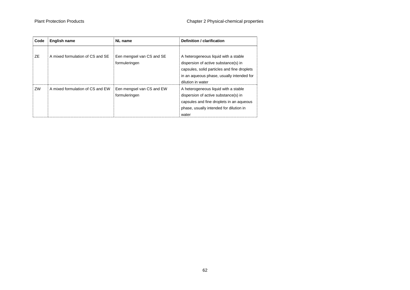| Code | <b>English name</b>              | <b>NL</b> name                             | Definition / clarification                                                                                                                                                                    |
|------|----------------------------------|--------------------------------------------|-----------------------------------------------------------------------------------------------------------------------------------------------------------------------------------------------|
| ZE   | A mixed formulation of CS and SE | Een mengsel van CS and SE<br>formuleringen | A heterogeneous liquid with a stable<br>dispersion of active substance(s) in<br>capsules, solid particles and fine droplets<br>in an aqueous phase, usually intended for<br>dilution in water |
| ZW   | A mixed formulation of CS and EW | Een mengsel van CS and EW<br>formuleringen | A heterogeneous liquid with a stable<br>dispersion of active substance(s) in<br>capsules and fine droplets in an aqueous<br>phase, usually intended for dilution in<br>water                  |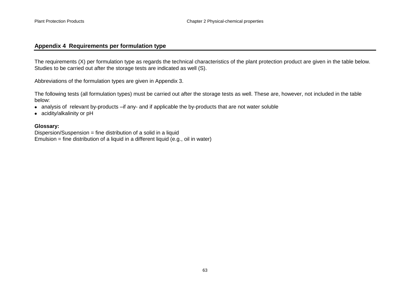#### **Appendix 4 Requirements per formulation type**

The requirements (X) per formulation type as regards the technical characteristics of the plant protection product are given in the table below. Studies to be carried out after the storage tests are indicated as well (S).

Abbreviations of the formulation types are given in Appendix 3.

The following tests (all formulation types) must be carried out after the storage tests as well. These are, however, not included in the table below:

- analysis of relevant by-products –if any- and if applicable the by-products that are not water soluble
- acidity/alkalinity or pH

#### **Glossary:**

<span id="page-62-0"></span>Dispersion/Suspension = fine distribution of a solid in a liquid Emulsion  $=$  fine distribution of a liquid in a different liquid (e.g., oil in water)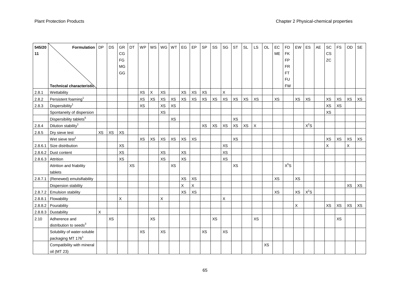| 545/20  | Formulation   DP                    |    | DS        | GR        | DT | <b>WP</b> | WS          |           | WG WT | EG        | EP        | SP | SS        | SG | <b>ST</b> | <b>SL</b> | LS          | OL | EC        | <b>FD</b> | EW        | ES     | AE | SC        | <b>FS</b> | OD                  | SE |
|---------|-------------------------------------|----|-----------|-----------|----|-----------|-------------|-----------|-------|-----------|-----------|----|-----------|----|-----------|-----------|-------------|----|-----------|-----------|-----------|--------|----|-----------|-----------|---------------------|----|
| 11      |                                     |    |           | CG        |    |           |             |           |       |           |           |    |           |    |           |           |             |    | ME        | <b>FK</b> |           |        |    | <b>CS</b> |           |                     |    |
|         |                                     |    |           | FG        |    |           |             |           |       |           |           |    |           |    |           |           |             |    |           | <b>FP</b> |           |        |    | ZC        |           |                     |    |
|         |                                     |    |           | MG        |    |           |             |           |       |           |           |    |           |    |           |           |             |    |           | <b>FR</b> |           |        |    |           |           |                     |    |
|         |                                     |    |           | GG        |    |           |             |           |       |           |           |    |           |    |           |           |             |    |           | <b>FT</b> |           |        |    |           |           |                     |    |
|         |                                     |    |           |           |    |           |             |           |       |           |           |    |           |    |           |           |             |    |           | <b>FU</b> |           |        |    |           |           |                     |    |
|         | Technical characteristic            |    |           |           |    |           |             |           |       |           |           |    |           |    |           |           |             |    |           | <b>FW</b> |           |        |    |           |           |                     |    |
| 2.8.1   | Wettability                         |    |           |           |    | XS        | $\mathsf X$ | XS        |       | XS        | XS        | XS |           | X  |           |           |             |    |           |           |           |        |    |           |           |                     |    |
| 2.8.2   | Persistent foaming <sup>1</sup>     |    |           |           |    | <b>XS</b> | XS          | XS        | XS    | XS        | <b>XS</b> | XS | XS        | XS | XS        | XS        | XS          |    | <b>XS</b> |           | <b>XS</b> | XS     |    | XS        | XS        | XS                  | XS |
| 2.8.3   | Dispersibility <sup>1</sup>         |    |           |           |    | XS        |             | XS        | XS    |           |           |    |           |    |           |           |             |    |           |           |           |        |    | XS        | XS        |                     |    |
|         | Spontaneity of dispersion           |    |           |           |    |           |             | <b>XS</b> |       |           |           |    |           |    |           |           |             |    |           |           |           |        |    | XS        |           |                     |    |
|         | Dispersibility tablets <sup>6</sup> |    |           |           |    |           |             |           | XS    |           |           |    |           |    | <b>XS</b> |           |             |    |           |           |           |        |    |           |           |                     |    |
| 2.8.4   | Dilution stability <sup>1</sup>     |    |           |           |    |           |             |           |       |           |           | XS | XS        | XS | XS        | XS        | $\mathsf X$ |    |           |           |           | $X^2S$ |    |           |           |                     |    |
| 2.8.5   | Dry sieve test                      | XS | XS        | <b>XS</b> |    |           |             |           |       |           |           |    |           |    |           |           |             |    |           |           |           |        |    |           |           |                     |    |
|         | Wet sieve test <sup>1</sup>         |    |           |           |    | XS        | XS          | XS        | XS    | XS        | XS        |    |           |    | <b>XS</b> |           |             |    |           |           |           |        |    | XS        | XS        | $\times \mathbf{S}$ | XS |
| 2.8.6.1 | Size distribution                   |    |           | <b>XS</b> |    |           |             |           |       |           |           |    |           | XS |           |           |             |    |           |           |           |        |    | X         |           | X                   |    |
|         | 2.8.6.2 Dust content                |    |           | XS        |    |           |             | <b>XS</b> |       | XS        |           |    |           | XS |           |           |             |    |           |           |           |        |    |           |           |                     |    |
|         | 2.8.6.3 Attrition                   |    |           | <b>XS</b> |    |           |             | <b>XS</b> |       | <b>XS</b> |           |    |           | XS |           |           |             |    |           |           |           |        |    |           |           |                     |    |
|         | Attrition and friability            |    |           |           | XS |           |             |           | XS    |           |           |    |           |    | XS        |           |             |    |           | $X^5S$    |           |        |    |           |           |                     |    |
|         | tablets                             |    |           |           |    |           |             |           |       |           |           |    |           |    |           |           |             |    |           |           |           |        |    |           |           |                     |    |
|         | 2.8.7.1 (Renewed) emulsifiability   |    |           |           |    |           |             |           |       | XS        | <b>XS</b> |    |           |    |           |           |             |    | <b>XS</b> |           | <b>XS</b> |        |    |           |           |                     |    |
|         | Dispersion stability                |    |           |           |    |           |             |           |       | X         | X         |    |           |    |           |           |             |    |           |           |           |        |    |           |           | XS                  | XS |
|         | 2.8.7.2 Emulsion stability          |    |           |           |    |           |             |           |       | XS        | <b>XS</b> |    |           |    |           |           |             |    | <b>XS</b> |           | <b>XS</b> | $X^2S$ |    |           |           |                     |    |
| 2.8.8.1 | Flowability                         |    |           | X         |    |           |             | X         |       |           |           |    |           | X  |           |           |             |    |           |           |           |        |    |           |           |                     |    |
|         | 2.8.8.2 Pourability                 |    |           |           |    |           |             |           |       |           |           |    |           |    |           |           |             |    |           |           | $\times$  |        |    | XS        | XS        | XS                  | XS |
|         | 2.8.8.3 Dustability                 | X  |           |           |    |           |             |           |       |           |           |    |           |    |           |           |             |    |           |           |           |        |    |           |           |                     |    |
| 2.10    | Adherence and                       |    | <b>XS</b> |           |    |           | <b>XS</b>   |           |       |           |           |    | <b>XS</b> |    |           |           | XS          |    |           |           |           |        |    |           | <b>XS</b> |                     |    |
|         | distribution to seeds <sup>3</sup>  |    |           |           |    |           |             |           |       |           |           |    |           |    |           |           |             |    |           |           |           |        |    |           |           |                     |    |
|         | Solubility of water-soluble         |    |           |           |    | XS        |             | XS        |       |           |           | XS |           | XS |           |           |             |    |           |           |           |        |    |           |           |                     |    |
|         | packaging MT 176 <sup>1</sup>       |    |           |           |    |           |             |           |       |           |           |    |           |    |           |           |             |    |           |           |           |        |    |           |           |                     |    |
|         | Compatibility with mineral          |    |           |           |    |           |             |           |       |           |           |    |           |    |           |           |             | XS |           |           |           |        |    |           |           |                     |    |
|         | oil (MT 23)                         |    |           |           |    |           |             |           |       |           |           |    |           |    |           |           |             |    |           |           |           |        |    |           |           |                     |    |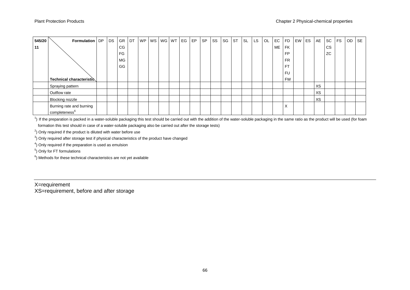| 545/20 | Formulation   DP          | DS | <b>GR</b> | DT | WP   WS   WG   WT |  | EG | EP | <b>SP</b> | SS | SG | <b>ST</b> | SL | LS. | OL | EC | <b>FD</b>         | EW ES | AE | SC        | <b>FS</b> | OD SE |  |
|--------|---------------------------|----|-----------|----|-------------------|--|----|----|-----------|----|----|-----------|----|-----|----|----|-------------------|-------|----|-----------|-----------|-------|--|
| 11     |                           |    | CG        |    |                   |  |    |    |           |    |    |           |    |     |    | ME | <b>FK</b>         |       |    | <b>CS</b> |           |       |  |
|        |                           |    | FG        |    |                   |  |    |    |           |    |    |           |    |     |    |    | <b>FP</b>         |       |    | ZC        |           |       |  |
|        |                           |    | MG        |    |                   |  |    |    |           |    |    |           |    |     |    |    | <b>FR</b>         |       |    |           |           |       |  |
|        |                           |    | GG        |    |                   |  |    |    |           |    |    |           |    |     |    |    | F <sub>T</sub>    |       |    |           |           |       |  |
|        |                           |    |           |    |                   |  |    |    |           |    |    |           |    |     |    |    | <b>FU</b>         |       |    |           |           |       |  |
|        | Technical characteristic  |    |           |    |                   |  |    |    |           |    |    |           |    |     |    |    | <b>FW</b>         |       |    |           |           |       |  |
|        | Spraying pattern          |    |           |    |                   |  |    |    |           |    |    |           |    |     |    |    |                   |       | XS |           |           |       |  |
|        | Outflow rate              |    |           |    |                   |  |    |    |           |    |    |           |    |     |    |    |                   |       | XS |           |           |       |  |
|        | Blocking nozzle           |    |           |    |                   |  |    |    |           |    |    |           |    |     |    |    |                   |       | XS |           |           |       |  |
|        | Burning rate and burning  |    |           |    |                   |  |    |    |           |    |    |           |    |     |    |    | $\checkmark$<br>⌒ |       |    |           |           |       |  |
|        | completeness <sup>6</sup> |    |           |    |                   |  |    |    |           |    |    |           |    |     |    |    |                   |       |    |           |           |       |  |

<sup>1</sup>) If the preparation is packed in a water-soluble packaging this test should be carried out with the addition of the water-soluble packaging in the same ratio as the product will be used (for foam formation this test should in case of a water-soluble packaging also be carried out after the storage tests)

 $2$ ) Only required if the product is diluted with water before use

 $3$ ) Only required after storage test if physical characteristics of the product have changed

<sup>4</sup>) Only required if the preparation is used as emulsion

5 ) Only for FT formulations

 $<sup>6</sup>$ ) Methods for these technical characteristics are not yet available</sup>

#### X=requirement

XS=requirement, before and after storage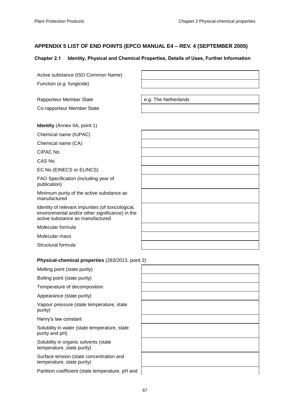# <span id="page-66-0"></span>**APPENDIX 5 LIST OF END POINTS (EPCO MANUAL E4 – REV. 4 (SEPTEMBER 2005)**

#### Chapter 2.1 Identity, Physical and Chemical Properties, Details of Uses, Further Information

| Active substance (ISO Common Name)                                                                                                        |                      |
|-------------------------------------------------------------------------------------------------------------------------------------------|----------------------|
| Function (e.g. fungicide)                                                                                                                 |                      |
|                                                                                                                                           |                      |
| <b>Rapporteur Member State</b>                                                                                                            | e.g. The Netherlands |
| Co-rapporteur Member State                                                                                                                |                      |
|                                                                                                                                           |                      |
| <b>Identity</b> (Annex IIA, point 1)                                                                                                      |                      |
| Chemical name (IUPAC)                                                                                                                     |                      |
| Chemical name (CA)                                                                                                                        |                      |
| <b>CIPAC No</b>                                                                                                                           |                      |
| CAS No                                                                                                                                    |                      |
| EC No (EINECS or ELINCS)                                                                                                                  |                      |
| FAO Specification (including year of<br>publication)                                                                                      |                      |
| Minimum purity of the active substance as<br>manufactured                                                                                 |                      |
| Identity of relevant impurities (of toxicological,<br>environmental and/or other significance) in the<br>active substance as manufactured |                      |
| Molecular formula                                                                                                                         |                      |
| Molecular mass                                                                                                                            |                      |
| Structural formula                                                                                                                        |                      |
|                                                                                                                                           |                      |
| Physical-chemical properties (283/2013, point 2)                                                                                          |                      |
| Melting point (state purity)                                                                                                              |                      |
| Boiling point (state purity)                                                                                                              |                      |
| Temperature of decomposition                                                                                                              |                      |

Appearance (state purity)

Vapour pressure (state temperature, state purity)

Henry's law constant

Solubility in water (state temperature, state purity and pH)

Solubility in organic solvents (state temperature, state purity)

Surface tension (state concentration and temperature, state purity)

Partition coefficient (state temperature, pH and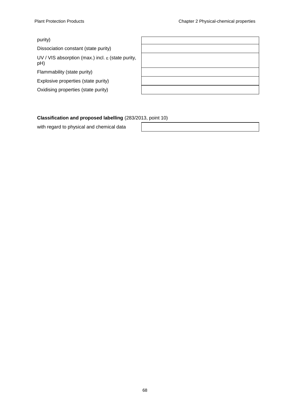#### purity)

Dissociation constant (state purity)

UV / VIS absorption (max.) incl.  $\varepsilon$  (state purity, pH)

Flammability (state purity)

Explosive properties (state purity)

Oxidising properties (state purity)

| the contract of the contract of the contract of the contract of the contract of |                                                                                                                      |  |  |
|---------------------------------------------------------------------------------|----------------------------------------------------------------------------------------------------------------------|--|--|
|                                                                                 |                                                                                                                      |  |  |
|                                                                                 |                                                                                                                      |  |  |
|                                                                                 | <u> 1989 - Johann Barn, amerikan besteman besteman besteman besteman besteman besteman besteman besteman bestema</u> |  |  |
|                                                                                 | the contract of the contract of the contract of the contract of the contract of the contract of the contract of      |  |  |
|                                                                                 | <u> 1988 - Ann an Dùbhlachd ann an Dùbhlachd ann an Dùbhlachd ann an Dùbhlachd ann an Dùbhlachd ann an Dùbhlachd</u> |  |  |
|                                                                                 |                                                                                                                      |  |  |

#### **Classification and proposed labelling** (283/2013, point 10)

with regard to physical and chemical data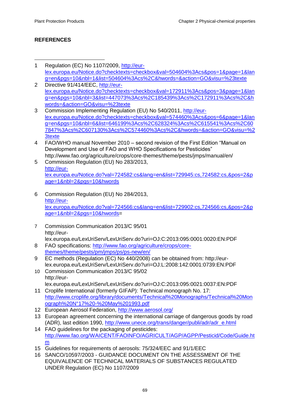# **REFERENCES**

- $\ddot{\phantom{a}}$ 1 Regulation (EC) No 1107/2009, [http://eur](http://eur-lex.europa.eu/Notice.do?checktexts=checkbox&val=504604%3Acs&pos=1&page=1&lang=en&pgs=10&nbl=1&list=504604%3Acs%2C&hwords=&action=GO&visu=%23texte)[lex.europa.eu/Notice.do?checktexts=checkbox&val=504604%3Acs&pos=1&page=1&lan](http://eur-lex.europa.eu/Notice.do?checktexts=checkbox&val=504604%3Acs&pos=1&page=1&lang=en&pgs=10&nbl=1&list=504604%3Acs%2C&hwords=&action=GO&visu=%23texte) [g=en&pgs=10&nbl=1&list=504604%3Acs%2C&hwords=&action=GO&visu=%23texte](http://eur-lex.europa.eu/Notice.do?checktexts=checkbox&val=504604%3Acs&pos=1&page=1&lang=en&pgs=10&nbl=1&list=504604%3Acs%2C&hwords=&action=GO&visu=%23texte)
- 2 Directive 91/414/EEC, [http://eur](http://eur-lex.europa.eu/Notice.do?checktexts=checkbox&val=172911%3Acs&pos=3&page=1&lang=en&pgs=10&nbl=3&list=447073%3Acs%2C185439%3Acs%2C172911%3Acs%2C&hwords=&action=GO&visu=%23texte)[lex.europa.eu/Notice.do?checktexts=checkbox&val=172911%3Acs&pos=3&page=1&lan](http://eur-lex.europa.eu/Notice.do?checktexts=checkbox&val=172911%3Acs&pos=3&page=1&lang=en&pgs=10&nbl=3&list=447073%3Acs%2C185439%3Acs%2C172911%3Acs%2C&hwords=&action=GO&visu=%23texte) [g=en&pgs=10&nbl=3&list=447073%3Acs%2C185439%3Acs%2C172911%3Acs%2C&h](http://eur-lex.europa.eu/Notice.do?checktexts=checkbox&val=172911%3Acs&pos=3&page=1&lang=en&pgs=10&nbl=3&list=447073%3Acs%2C185439%3Acs%2C172911%3Acs%2C&hwords=&action=GO&visu=%23texte) [words=&action=GO&visu=%23texte](http://eur-lex.europa.eu/Notice.do?checktexts=checkbox&val=172911%3Acs&pos=3&page=1&lang=en&pgs=10&nbl=3&list=447073%3Acs%2C185439%3Acs%2C172911%3Acs%2C&hwords=&action=GO&visu=%23texte)
- 3 Commission Implementing Regulation (EU) No 540/2011, [http://eur](http://eur-lex.europa.eu/Notice.do?checktexts=checkbox&val=574460%3Acs&pos=6&page=1&lang=en&pgs=10&nbl=6&list=646199%3Acs%2C628324%3Acs%2C615541%3Acs%2C607847%3Acs%2C607130%3Acs%2C574460%3Acs%2C&hwords=&action=GO&visu=%23texte)[lex.europa.eu/Notice.do?checktexts=checkbox&val=574460%3Acs&pos=6&page=1&lan](http://eur-lex.europa.eu/Notice.do?checktexts=checkbox&val=574460%3Acs&pos=6&page=1&lang=en&pgs=10&nbl=6&list=646199%3Acs%2C628324%3Acs%2C615541%3Acs%2C607847%3Acs%2C607130%3Acs%2C574460%3Acs%2C&hwords=&action=GO&visu=%23texte) [g=en&pgs=10&nbl=6&list=646199%3Acs%2C628324%3Acs%2C615541%3Acs%2C60](http://eur-lex.europa.eu/Notice.do?checktexts=checkbox&val=574460%3Acs&pos=6&page=1&lang=en&pgs=10&nbl=6&list=646199%3Acs%2C628324%3Acs%2C615541%3Acs%2C607847%3Acs%2C607130%3Acs%2C574460%3Acs%2C&hwords=&action=GO&visu=%23texte) [7847%3Acs%2C607130%3Acs%2C574460%3Acs%2C&hwords=&action=GO&visu=%2](http://eur-lex.europa.eu/Notice.do?checktexts=checkbox&val=574460%3Acs&pos=6&page=1&lang=en&pgs=10&nbl=6&list=646199%3Acs%2C628324%3Acs%2C615541%3Acs%2C607847%3Acs%2C607130%3Acs%2C574460%3Acs%2C&hwords=&action=GO&visu=%23texte) [3texte](http://eur-lex.europa.eu/Notice.do?checktexts=checkbox&val=574460%3Acs&pos=6&page=1&lang=en&pgs=10&nbl=6&list=646199%3Acs%2C628324%3Acs%2C615541%3Acs%2C607847%3Acs%2C607130%3Acs%2C574460%3Acs%2C&hwords=&action=GO&visu=%23texte)
- 4 FAO/WHO manual November 2010 second revision of the First Edition "Manual on Development and Use of FAO and WHO Specifications for Pesticides" http://www.fao.org/agriculture/crops/core-themes/theme/pests/jmps/manual/en/
- 5 Commission Regulation (EU) No 283/2013, [http://eur](http://eur-lex.europa.eu/Notice.do?val=724582:cs&lang=en&list=729945:cs,724582:cs,&pos=2&page=1&nbl=2&pgs=10&hwords)[lex.europa.eu/Notice.do?val=724582:cs&lang=en&list=729945:cs,724582:cs,&pos=2&p](http://eur-lex.europa.eu/Notice.do?val=724582:cs&lang=en&list=729945:cs,724582:cs,&pos=2&page=1&nbl=2&pgs=10&hwords) [age=1&nbl=2&pgs=10&hwords](http://eur-lex.europa.eu/Notice.do?val=724582:cs&lang=en&list=729945:cs,724582:cs,&pos=2&page=1&nbl=2&pgs=10&hwords)
- 6 Commission Regulation (EU) No 284/2013, [http://eur](http://eur-lex.europa.eu/Notice.do?val=724566:cs&lang=en&list=729902:cs,724566:cs,&pos=2&page=1&nbl=2&pgs=10&hwords)[lex.europa.eu/Notice.do?val=724566:cs&lang=en&list=729902:cs,724566:cs,&pos=2&p](http://eur-lex.europa.eu/Notice.do?val=724566:cs&lang=en&list=729902:cs,724566:cs,&pos=2&page=1&nbl=2&pgs=10&hwords) [age=1&nbl=2&pgs=10&hwords=](http://eur-lex.europa.eu/Notice.do?val=724566:cs&lang=en&list=729902:cs,724566:cs,&pos=2&page=1&nbl=2&pgs=10&hwords)
- 7 Commission Communication 2013/C 95/01 http://eur-
- lex.europa.eu/LexUriServ/LexUriServ.do?uri=OJ:C:2013:095:0001:0020:EN:PDF 8 FAO specifications: [http://www.fao.org/agriculture/crops/core](http://www.fao.org/agriculture/crops/core-themes/theme/pests/pm/jmps/ps/ps-new/en/)[themes/theme/pests/pm/jmps/ps/ps-new/en/](http://www.fao.org/agriculture/crops/core-themes/theme/pests/pm/jmps/ps/ps-new/en/)
- 9 EC methods (Regulation (EC) No 440/2008) can be obtained from: http://eurlex.europa.eu/LexUriServ/LexUriServ.do?uri=OJ:L:2008:142:0001:0739:EN:PDF
- 10 Commission Communication 2013/C 95/02 http://eurlex.europa.eu/LexUriServ/LexUriServ.do?uri=OJ:C:2013:095:0021:0037:EN:PDF
- 11 Croplife International (formerly GIFAP): Technical monograph No. 17: [http://www.croplife.org/library/documents/Technical%20Monographs/Technical%20Mon](http://www.croplife.org/library/documents/Technical%20Monographs/Technical_Monograph_N%C2%B017_-_May_1993.pdf) [ograph%20N°17%20-%20May%201993.pdf](http://www.croplife.org/library/documents/Technical%20Monographs/Technical_Monograph_N%C2%B017_-_May_1993.pdf)
- 12 European Aerosol Federation,<http://www.aerosol.org/>
- 13 European agreement concerning the international carriage of dangerous goods by road (ADR), last edition 1990, [http://www.unece.org/trans/danger/publi/adr/adr\\_e.html](http://www.unece.org/trans/danger/publi/adr/adr_e.html)
- 14 FAO guidelines for the packaging of pesticides: [http://www.fao.org/WAICENT/FAOINFO/AGRICULT/AGP/AGPP/Pesticid/Code/Guide.ht](http://www.fao.org/WAICENT/FAOINFO/AGRICULT/AGP/AGPP/Pesticid/Code/Guide.htm) [m](http://www.fao.org/WAICENT/FAOINFO/AGRICULT/AGP/AGPP/Pesticid/Code/Guide.htm)
- 15 Guidelines for requirements of aerosols: 75/324/EEC and 91/1/EEC
- 16 SANCO/10597/2003 GUIDANCE DOCUMENT ON THE ASSESSMENT OF THE EQUIVALENCE OF TECHNICAL MATERIALS OF SUBSTANCES REGULATED UNDER Regulation (EC) No 1107/2009